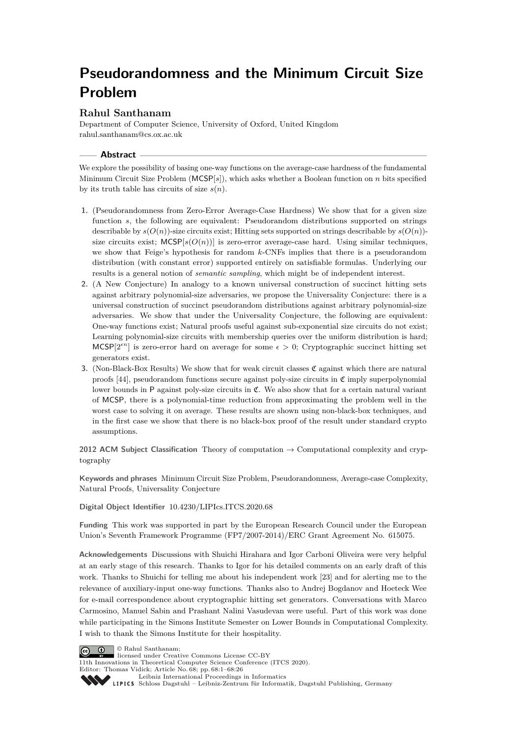# **Pseudorandomness and the Minimum Circuit Size Problem**

# **Rahul Santhanam**

Department of Computer Science, University of Oxford, United Kingdom [rahul.santhanam@cs.ox.ac.uk](mailto:rahul.santhanam@cs.ox.ac.uk)

## **Abstract**

We explore the possibility of basing one-way functions on the average-case hardness of the fundamental Minimum Circuit Size Problem (MCSP[*s*]), which asks whether a Boolean function on *n* bits specified by its truth table has circuits of size *s*(*n*).

- **1.** (Pseudorandomness from Zero-Error Average-Case Hardness) We show that for a given size function *s*, the following are equivalent: Pseudorandom distributions supported on strings describable by  $s(O(n))$ -size circuits exist; Hitting sets supported on strings describable by  $s(O(n))$ size circuits exist;  $MCSP[s(O(n))]$  is zero-error average-case hard. Using similar techniques, we show that Feige's hypothesis for random *k*-CNFs implies that there is a pseudorandom distribution (with constant error) supported entirely on satisfiable formulas. Underlying our results is a general notion of *semantic sampling*, which might be of independent interest.
- **2.** (A New Conjecture) In analogy to a known universal construction of succinct hitting sets against arbitrary polynomial-size adversaries, we propose the Universality Conjecture: there is a universal construction of succinct pseudorandom distributions against arbitrary polynomial-size adversaries. We show that under the Universality Conjecture, the following are equivalent: One-way functions exist; Natural proofs useful against sub-exponential size circuits do not exist; Learning polynomial-size circuits with membership queries over the uniform distribution is hard; MCSP[ $2^{en}$ ] is zero-error hard on average for some  $\epsilon > 0$ ; Cryptographic succinct hitting set generators exist.
- **3.** (Non-Black-Box Results) We show that for weak circuit classes  $\mathfrak{C}$  against which there are natural proofs  $[44]$ , pseudorandom functions secure against poly-size circuits in  $\mathfrak{C}$  imply superpolynomial lower bounds in  $P$  against poly-size circuits in  $\mathfrak{C}$ . We also show that for a certain natural variant of MCSP, there is a polynomial-time reduction from approximating the problem well in the worst case to solving it on average. These results are shown using non-black-box techniques, and in the first case we show that there is no black-box proof of the result under standard crypto assumptions.

**2012 ACM Subject Classification** Theory of computation → Computational complexity and cryptography

**Keywords and phrases** Minimum Circuit Size Problem, Pseudorandomness, Average-case Complexity, Natural Proofs, Universality Conjecture

**Digital Object Identifier** [10.4230/LIPIcs.ITCS.2020.68](https://doi.org/10.4230/LIPIcs.ITCS.2020.68)

**Funding** This work was supported in part by the European Research Council under the European Union's Seventh Framework Programme (FP7/2007-2014)/ERC Grant Agreement No. 615075.

**Acknowledgements** Discussions with Shuichi Hirahara and Igor Carboni Oliveira were very helpful at an early stage of this research. Thanks to Igor for his detailed comments on an early draft of this work. Thanks to Shuichi for telling me about his independent work [\[23\]](#page-24-0) and for alerting me to the relevance of auxiliary-input one-way functions. Thanks also to Andrej Bogdanov and Hoeteck Wee for e-mail correspondence about cryptographic hitting set generators. Conversations with Marco Carmosino, Manuel Sabin and Prashant Nalini Vasudevan were useful. Part of this work was done while participating in the Simons Institute Semester on Lower Bounds in Computational Complexity. I wish to thank the Simons Institute for their hospitality.



licensed under Creative Commons License CC-BY

11th Innovations in Theoretical Computer Science Conference (ITCS 2020). Editor: Thomas Vidick; Article No. 68; pp. 68:1–68[:26](#page-25-1)

[Leibniz International Proceedings in Informatics](https://www.dagstuhl.de/lipics/)

[Schloss Dagstuhl – Leibniz-Zentrum für Informatik, Dagstuhl Publishing, Germany](https://www.dagstuhl.de)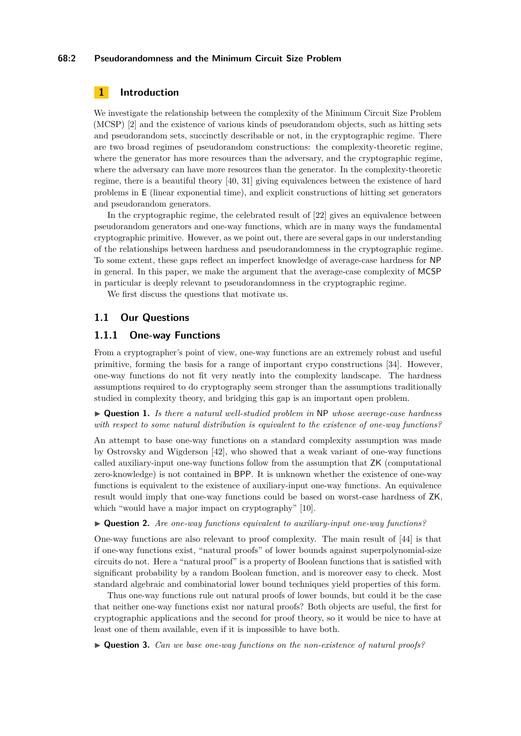## **68:2 Pseudorandomness and the Minimum Circuit Size Problem**

# **1 Introduction**

We investigate the relationship between the complexity of the Minimum Circuit Size Problem (MCSP) [\[2\]](#page-23-0) and the existence of various kinds of pseudorandom objects, such as hitting sets and pseudorandom sets, succinctly describable or not, in the cryptographic regime. There are two broad regimes of pseudorandom constructions: the complexity-theoretic regime, where the generator has more resources than the adversary, and the cryptographic regime, where the adversary can have more resources than the generator. In the complexity-theoretic regime, there is a beautiful theory [\[40,](#page-25-2) [31\]](#page-24-1) giving equivalences between the existence of hard problems in E (linear exponential time), and explicit constructions of hitting set generators and pseudorandom generators.

In the cryptographic regime, the celebrated result of [\[22\]](#page-24-2) gives an equivalence between pseudorandom generators and one-way functions, which are in many ways the fundamental cryptographic primitive. However, as we point out, there are several gaps in our understanding of the relationships between hardness and pseudorandomness in the cryptographic regime. To some extent, these gaps reflect an imperfect knowledge of average-case hardness for NP in general. In this paper, we make the argument that the average-case complexity of MCSP in particular is deeply relevant to pseudorandomness in the cryptographic regime.

We first discuss the questions that motivate us.

# <span id="page-1-0"></span>**1.1 Our Questions**

# **1.1.1 One-way Functions**

From a cryptographer's point of view, one-way functions are an extremely robust and useful primitive, forming the basis for a range of important crypo constructions [\[34\]](#page-24-3). However, one-way functions do not fit very neatly into the complexity landscape. The hardness assumptions required to do cryptography seem stronger than the assumptions traditionally studied in complexity theory, and bridging this gap is an important open problem.

I **Question 1.** *Is there a natural well-studied problem in* NP *whose average-case hardness with respect to some natural distribution is equivalent to the existence of one-way functions?*

An attempt to base one-way functions on a standard complexity assumption was made by Ostrovsky and Wigderson [\[42\]](#page-25-3), who showed that a weak variant of one-way functions called auxiliary-input one-way functions follow from the assumption that ZK (computational zero-knowledge) is not contained in BPP. It is unknown whether the existence of one-way functions is equivalent to the existence of auxiliary-input one-way functions. An equivalence result would imply that one-way functions could be based on worst-case hardness of ZK, which "would have a major impact on cryptography" [\[10\]](#page-23-1).

I **Question 2.** *Are one-way functions equivalent to auxiliary-input one-way functions?*

One-way functions are also relevant to proof complexity. The main result of [\[44\]](#page-25-0) is that if one-way functions exist, "natural proofs" of lower bounds against superpolynomial-size circuits do not. Here a "natural proof" is a property of Boolean functions that is satisfied with significant probability by a random Boolean function, and is moreover easy to check. Most standard algebraic and combinatorial lower bound techniques yield properties of this form.

Thus one-way functions rule out natural proofs of lower bounds, but could it be the case that neither one-way functions exist nor natural proofs? Both objects are useful, the first for cryptographic applications and the second for proof theory, so it would be nice to have at least one of them available, even if it is impossible to have both.

▶ **Question 3.** *Can we base one-way functions on the non-existence of natural proofs?*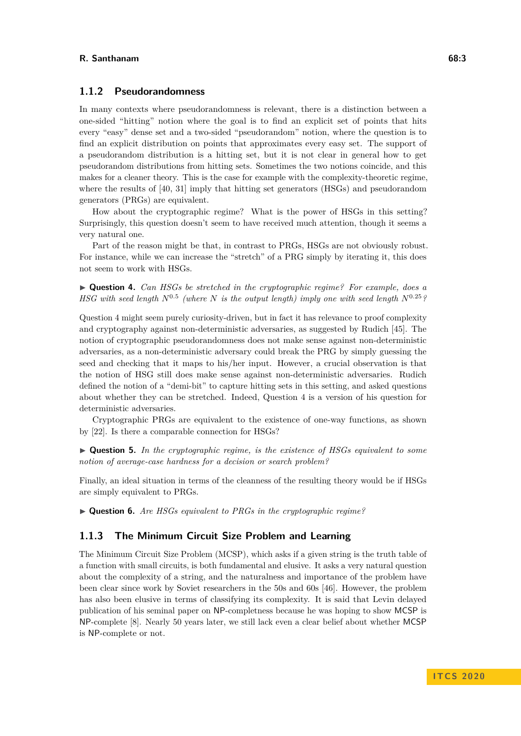# **1.1.2 Pseudorandomness**

In many contexts where pseudorandomness is relevant, there is a distinction between a one-sided "hitting" notion where the goal is to find an explicit set of points that hits every "easy" dense set and a two-sided "pseudorandom" notion, where the question is to find an explicit distribution on points that approximates every easy set. The support of a pseudorandom distribution is a hitting set, but it is not clear in general how to get pseudorandom distributions from hitting sets. Sometimes the two notions coincide, and this makes for a cleaner theory. This is the case for example with the complexity-theoretic regime, where the results of [\[40,](#page-25-2) [31\]](#page-24-1) imply that hitting set generators (HSGs) and pseudorandom generators (PRGs) are equivalent.

How about the cryptographic regime? What is the power of HSGs in this setting? Surprisingly, this question doesn't seem to have received much attention, though it seems a very natural one.

Part of the reason might be that, in contrast to PRGs, HSGs are not obviously robust. For instance, while we can increase the "stretch" of a PRG simply by iterating it, this does not seem to work with HSGs.

I **Question 4.** *Can HSGs be stretched in the cryptographic regime? For example, does a HSG with seed length*  $N^{0.5}$  (where  $N$  *is the output length) imply one with seed length*  $N^{0.25}$ ?

Question 4 might seem purely curiosity-driven, but in fact it has relevance to proof complexity and cryptography against non-deterministic adversaries, as suggested by Rudich [\[45\]](#page-25-4). The notion of cryptographic pseudorandomness does not make sense against non-deterministic adversaries, as a non-deterministic adversary could break the PRG by simply guessing the seed and checking that it maps to his/her input. However, a crucial observation is that the notion of HSG still does make sense against non-deterministic adversaries. Rudich defined the notion of a "demi-bit" to capture hitting sets in this setting, and asked questions about whether they can be stretched. Indeed, Question 4 is a version of his question for deterministic adversaries.

Cryptographic PRGs are equivalent to the existence of one-way functions, as shown by [\[22\]](#page-24-2). Is there a comparable connection for HSGs?

I **Question 5.** *In the cryptographic regime, is the existence of HSGs equivalent to some notion of average-case hardness for a decision or search problem?*

Finally, an ideal situation in terms of the cleanness of the resulting theory would be if HSGs are simply equivalent to PRGs.

I **Question 6.** *Are HSGs equivalent to PRGs in the cryptographic regime?*

## **1.1.3 The Minimum Circuit Size Problem and Learning**

The Minimum Circuit Size Problem (MCSP), which asks if a given string is the truth table of a function with small circuits, is both fundamental and elusive. It asks a very natural question about the complexity of a string, and the naturalness and importance of the problem have been clear since work by Soviet researchers in the 50s and 60s [\[46\]](#page-25-5). However, the problem has also been elusive in terms of classifying its complexity. It is said that Levin delayed publication of his seminal paper on NP-completness because he was hoping to show MCSP is NP-complete [\[8\]](#page-23-2). Nearly 50 years later, we still lack even a clear belief about whether MCSP is NP-complete or not.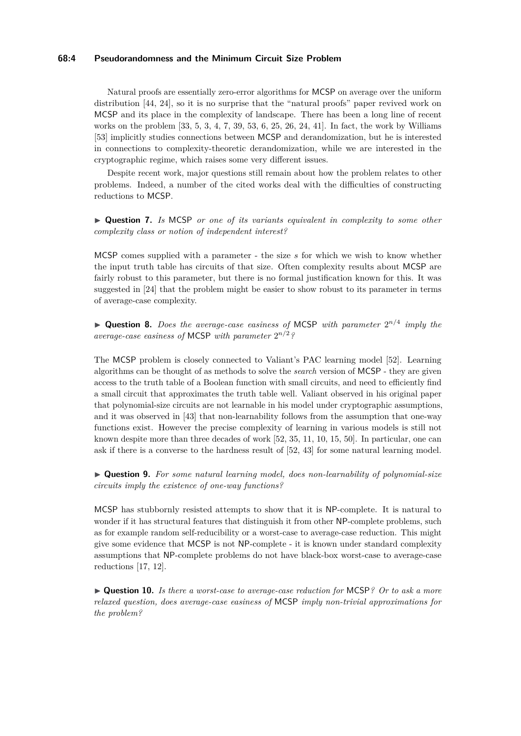## **68:4 Pseudorandomness and the Minimum Circuit Size Problem**

Natural proofs are essentially zero-error algorithms for MCSP on average over the uniform distribution [\[44,](#page-25-0) [24\]](#page-24-4), so it is no surprise that the "natural proofs" paper revived work on MCSP and its place in the complexity of landscape. There has been a long line of recent works on the problem [\[33,](#page-24-5) [5,](#page-23-3) [3,](#page-23-4) [4,](#page-23-5) [7,](#page-23-6) [39,](#page-25-6) [53,](#page-25-7) [6,](#page-23-7) [25,](#page-24-6) [26,](#page-24-7) [24,](#page-24-4) [41\]](#page-25-8). In fact, the work by Williams [\[53\]](#page-25-7) implicitly studies connections between MCSP and derandomization, but he is interested in connections to complexity-theoretic derandomization, while we are interested in the cryptographic regime, which raises some very different issues.

Despite recent work, major questions still remain about how the problem relates to other problems. Indeed, a number of the cited works deal with the difficulties of constructing reductions to MCSP.

▶ **Question 7.** *Is* MCSP *or one of its variants equivalent in complexity to some other complexity class or notion of independent interest?*

MCSP comes supplied with a parameter - the size *s* for which we wish to know whether the input truth table has circuits of that size. Often complexity results about MCSP are fairly robust to this parameter, but there is no formal justification known for this. It was suggested in [\[24\]](#page-24-4) that the problem might be easier to show robust to its parameter in terms of average-case complexity.

▶ **Question 8.** *Does the average-case easiness of* MCSP *with parameter*  $2^{n/4}$  *imply the average-case easiness of* MCSP *with parameter* 2 *n/*<sup>2</sup>*?*

The MCSP problem is closely connected to Valiant's PAC learning model [\[52\]](#page-25-9). Learning algorithms can be thought of as methods to solve the *search* version of MCSP - they are given access to the truth table of a Boolean function with small circuits, and need to efficiently find a small circuit that approximates the truth table well. Valiant observed in his original paper that polynomial-size circuits are not learnable in his model under cryptographic assumptions, and it was observed in [\[43\]](#page-25-10) that non-learnability follows from the assumption that one-way functions exist. However the precise complexity of learning in various models is still not known despite more than three decades of work [\[52,](#page-25-9) [35,](#page-24-8) [11,](#page-23-8) [10,](#page-23-1) [15,](#page-23-9) [50\]](#page-25-11). In particular, one can ask if there is a converse to the hardness result of [\[52,](#page-25-9) [43\]](#page-25-10) for some natural learning model.

I **Question 9.** *For some natural learning model, does non-learnability of polynomial-size circuits imply the existence of one-way functions?*

MCSP has stubbornly resisted attempts to show that it is NP-complete. It is natural to wonder if it has structural features that distinguish it from other NP-complete problems, such as for example random self-reducibility or a worst-case to average-case reduction. This might give some evidence that MCSP is not NP-complete - it is known under standard complexity assumptions that NP-complete problems do not have black-box worst-case to average-case reductions [\[17,](#page-24-9) [12\]](#page-23-10).

▶ **Question 10.** *Is there a worst-case to average-case reduction for* MCSP? *Or to ask a more relaxed question, does average-case easiness of* MCSP *imply non-trivial approximations for the problem?*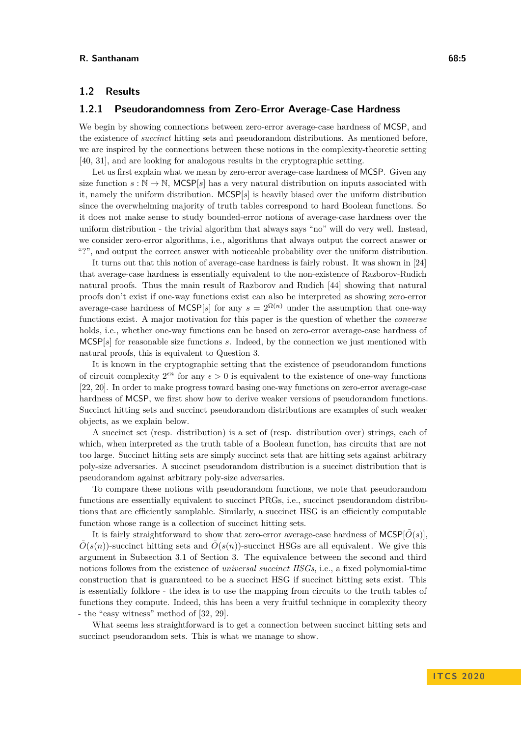# **1.2 Results**

# **1.2.1 Pseudorandomness from Zero-Error Average-Case Hardness**

We begin by showing connections between zero-error average-case hardness of MCSP, and the existence of *succinct* hitting sets and pseudorandom distributions. As mentioned before, we are inspired by the connections between these notions in the complexity-theoretic setting [\[40,](#page-25-2) [31\]](#page-24-1), and are looking for analogous results in the cryptographic setting.

Let us first explain what we mean by zero-error average-case hardness of MCSP. Given any size function  $s : \mathbb{N} \to \mathbb{N}$ , MCSP[s] has a very natural distribution on inputs associated with it, namely the uniform distribution. MCSP[*s*] is heavily biased over the uniform distribution since the overwhelming majority of truth tables correspond to hard Boolean functions. So it does not make sense to study bounded-error notions of average-case hardness over the uniform distribution - the trivial algorithm that always says "no" will do very well. Instead, we consider zero-error algorithms, i.e., algorithms that always output the correct answer or "?", and output the correct answer with noticeable probability over the uniform distribution.

It turns out that this notion of average-case hardness is fairly robust. It was shown in [\[24\]](#page-24-4) that average-case hardness is essentially equivalent to the non-existence of Razborov-Rudich natural proofs. Thus the main result of Razborov and Rudich [\[44\]](#page-25-0) showing that natural proofs don't exist if one-way functions exist can also be interpreted as showing zero-error average-case hardness of MCSP[*s*] for any  $s = 2^{\Omega(n)}$  under the assumption that one-way functions exist. A major motivation for this paper is the question of whether the *converse* holds, i.e., whether one-way functions can be based on zero-error average-case hardness of MCSP[*s*] for reasonable size functions *s*. Indeed, by the connection we just mentioned with natural proofs, this is equivalent to Question 3.

It is known in the cryptographic setting that the existence of pseudorandom functions of circuit complexity  $2^{\epsilon n}$  for any  $\epsilon > 0$  is equivalent to the existence of one-way functions [\[22,](#page-24-2) [20\]](#page-24-10). In order to make progress toward basing one-way functions on zero-error average-case hardness of MCSP, we first show how to derive weaker versions of pseudorandom functions. Succinct hitting sets and succinct pseudorandom distributions are examples of such weaker objects, as we explain below.

A succinct set (resp. distribution) is a set of (resp. distribution over) strings, each of which, when interpreted as the truth table of a Boolean function, has circuits that are not too large. Succinct hitting sets are simply succinct sets that are hitting sets against arbitrary poly-size adversaries. A succinct pseudorandom distribution is a succinct distribution that is pseudorandom against arbitrary poly-size adversaries.

To compare these notions with pseudorandom functions, we note that pseudorandom functions are essentially equivalent to succinct PRGs, i.e., succinct pseudorandom distributions that are efficiently samplable. Similarly, a succinct HSG is an efficiently computable function whose range is a collection of succinct hitting sets.

It is fairly straightforward to show that zero-error average-case hardness of  $MCSP[*O*(*s*)]$ ,  $\tilde{O}(s(n))$ -succinct hitting sets and  $\tilde{O}(s(n))$ -succinct HSGs are all equivalent. We give this argument in Subsection [3.1](#page-12-0) of Section [3.](#page-12-1) The equivalence between the second and third notions follows from the existence of *universal succinct HSGs*, i.e., a fixed polynomial-time construction that is guaranteed to be a succinct HSG if succinct hitting sets exist. This is essentially folklore - the idea is to use the mapping from circuits to the truth tables of functions they compute. Indeed, this has been a very fruitful technique in complexity theory - the "easy witness" method of [\[32,](#page-24-11) [29\]](#page-24-12).

<span id="page-4-0"></span>What seems less straightforward is to get a connection between succinct hitting sets and succinct pseudorandom sets. This is what we manage to show.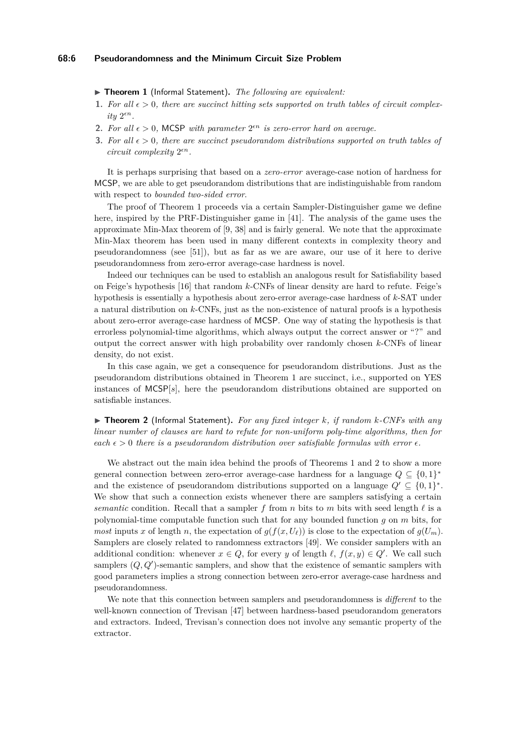## **68:6 Pseudorandomness and the Minimum Circuit Size Problem**

▶ **Theorem 1** (Informal Statement). *The following are equivalent:* 

- **1.** For all  $\epsilon > 0$ , there are succinct hitting sets supported on truth tables of circuit complex*ity*  $2^{\epsilon n}$ *.*
- **2.** For all  $\epsilon > 0$ , MCSP with parameter  $2^{\epsilon n}$  is zero-error hard on average.
- **3.** *For all >* 0*, there are succinct pseudorandom distributions supported on truth tables of circuit complexity* 2 *n.*

It is perhaps surprising that based on a *zero-error* average-case notion of hardness for MCSP, we are able to get pseudorandom distributions that are indistinguishable from random with respect to *bounded two-sided error*.

The proof of Theorem [1](#page-4-0) proceeds via a certain Sampler-Distinguisher game we define here, inspired by the PRF-Distinguisher game in [\[41\]](#page-25-8). The analysis of the game uses the approximate Min-Max theorem of [\[9,](#page-23-11) [38\]](#page-25-12) and is fairly general. We note that the approximate Min-Max theorem has been used in many different contexts in complexity theory and pseudorandomness (see [\[51\]](#page-25-13)), but as far as we are aware, our use of it here to derive pseudorandomness from zero-error average-case hardness is novel.

Indeed our techniques can be used to establish an analogous result for Satisfiability based on Feige's hypothesis [\[16\]](#page-23-12) that random *k*-CNFs of linear density are hard to refute. Feige's hypothesis is essentially a hypothesis about zero-error average-case hardness of *k*-SAT under a natural distribution on *k*-CNFs, just as the non-existence of natural proofs is a hypothesis about zero-error average-case hardness of MCSP. One way of stating the hypothesis is that errorless polynomial-time algorithms, which always output the correct answer or "?" and output the correct answer with high probability over randomly chosen *k*-CNFs of linear density, do not exist.

In this case again, we get a consequence for pseudorandom distributions. Just as the pseudorandom distributions obtained in Theorem [1](#page-4-0) are succinct, i.e., supported on YES instances of MCSP[*s*], here the pseudorandom distributions obtained are supported on satisfiable instances.

<span id="page-5-0"></span>I **Theorem 2** (Informal Statement)**.** *For any fixed integer k, if random k-CNFs with any linear number of clauses are hard to refute for non-uniform poly-time algorithms, then for*  $\epsilon$ *each*  $\epsilon > 0$  *there is a pseudorandom distribution over satisfiable formulas with error*  $\epsilon$ *.* 

We abstract out the main idea behind the proofs of Theorems [1](#page-4-0) and [2](#page-5-0) to show a more general connection between zero-error average-case hardness for a language  $Q \subseteq \{0,1\}^*$ and the existence of pseudorandom distributions supported on a language  $Q' \subseteq \{0,1\}^*$ . We show that such a connection exists whenever there are samplers satisfying a certain *semantic* condition. Recall that a sampler f from *n* bits to *m* bits with seed length  $\ell$  is a polynomial-time computable function such that for any bounded function *g* on *m* bits, for *most* inputs *x* of length *n*, the expectation of  $g(f(x, U_\ell))$  is close to the expectation of  $g(U_m)$ . Samplers are closely related to randomness extractors [\[49\]](#page-25-14). We consider samplers with an additional condition: whenever  $x \in Q$ , for every *y* of length  $\ell$ ,  $f(x, y) \in Q'$ . We call such samplers  $(Q, Q')$ -semantic samplers, and show that the existence of semantic samplers with good parameters implies a strong connection between zero-error average-case hardness and pseudorandomness.

We note that this connection between samplers and pseudorandomness is *different* to the well-known connection of Trevisan [\[47\]](#page-25-15) between hardness-based pseudorandom generators and extractors. Indeed, Trevisan's connection does not involve any semantic property of the extractor.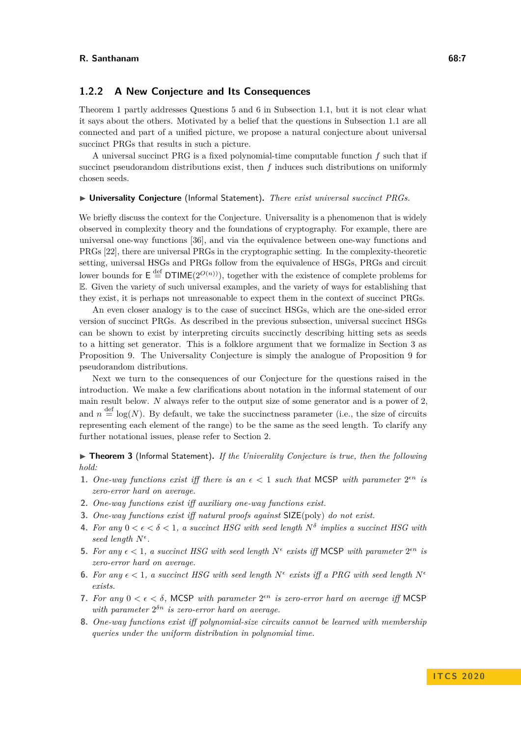# **1.2.2 A New Conjecture and Its Consequences**

Theorem [1](#page-4-0) partly addresses Questions 5 and 6 in Subsection [1.1,](#page-1-0) but it is not clear what it says about the others. Motivated by a belief that the questions in Subsection [1.1](#page-1-0) are all connected and part of a unified picture, we propose a natural conjecture about universal succinct PRGs that results in such a picture.

A universal succinct PRG is a fixed polynomial-time computable function *f* such that if succinct pseudorandom distributions exist, then *f* induces such distributions on uniformly chosen seeds.

#### I **Universality Conjecture** (Informal Statement)**.** *There exist universal succinct PRGs.*

We briefly discuss the context for the Conjecture. Universality is a phenomenon that is widely observed in complexity theory and the foundations of cryptography. For example, there are universal one-way functions [\[36\]](#page-24-13), and via the equivalence between one-way functions and PRGs [\[22\]](#page-24-2), there are universal PRGs in the cryptographic setting. In the complexity-theoretic setting, universal HSGs and PRGs follow from the equivalence of HSGs, PRGs and circuit lower bounds for  $E \stackrel{\text{def}}{=} DTIME(2^{O(n)})$ , together with the existence of complete problems for E. Given the variety of such universal examples, and the variety of ways for establishing that they exist, it is perhaps not unreasonable to expect them in the context of succinct PRGs.

An even closer analogy is to the case of succinct HSGs, which are the one-sided error version of succinct PRGs. As described in the previous subsection, universal succinct HSGs can be shown to exist by interpreting circuits succinctly describing hitting sets as seeds to a hitting set generator. This is a folklore argument that we formalize in Section [3](#page-12-1) as Proposition [9.](#page-12-2) The Universality Conjecture is simply the analogue of Proposition [9](#page-12-2) for pseudorandom distributions.

Next we turn to the consequences of our Conjecture for the questions raised in the introduction. We make a few clarifications about notation in the informal statement of our main result below. *N* always refer to the output size of some generator and is a power of 2, and  $n \stackrel{\text{def}}{=} \log(N)$ . By default, we take the succinctness parameter (i.e., the size of circuits representing each element of the range) to be the same as the seed length. To clarify any further notational issues, please refer to Section [2.](#page-9-0)

<span id="page-6-0"></span>▶ Theorem 3 (Informal Statement). *If the Univerality Conjecture is true, then the following hold:*

- **1.** One-way functions exist iff there is an  $\epsilon < 1$  such that MCSP with parameter  $2^{\epsilon n}$  is *zero-error hard on average.*
- **2.** *One-way functions exist iff auxiliary one-way functions exist.*
- **3.** *One-way functions exist iff natural proofs against* SIZE(poly) *do not exist.*
- **4.** For any  $0 < \epsilon < \delta < 1$ , a succinct HSG with seed length  $N^{\delta}$  implies a succinct HSG with *seed length N .*
- **5.** For any  $\epsilon < 1$ , a succinct HSG with seed length  $N^{\epsilon}$  exists iff MCSP with parameter  $2^{\epsilon n}$  is *zero-error hard on average.*
- **6.** For any  $\epsilon < 1$ , a succinct HSG with seed length  $N^{\epsilon}$  exists iff a PRG with seed length  $N^{\epsilon}$ *exists.*
- **7.** For any  $0 < \epsilon < \delta$ , MCSP with parameter  $2^{\epsilon n}$  is zero-error hard on average iff MCSP with parameter  $2^{\delta n}$  *is zero-error hard on average.*
- **8.** *One-way functions exist iff polynomial-size circuits cannot be learned with membership queries under the uniform distribution in polynomial time.*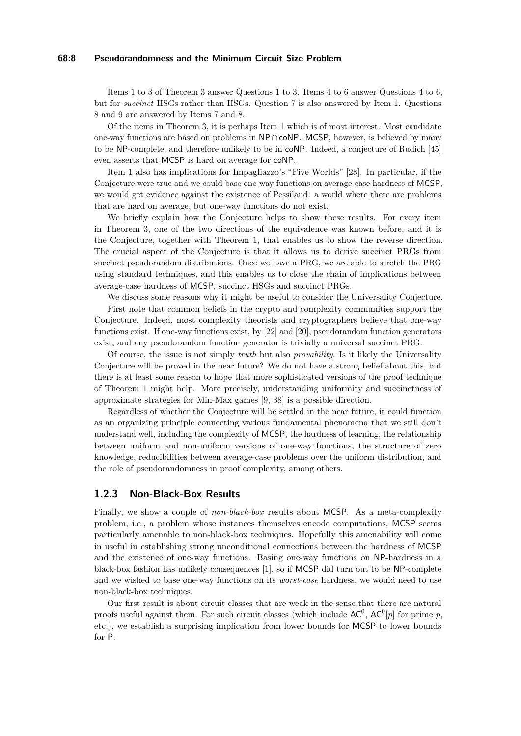#### **68:8 Pseudorandomness and the Minimum Circuit Size Problem**

Items 1 to 3 of Theorem [3](#page-6-0) answer Questions 1 to 3. Items 4 to 6 answer Questions 4 to 6, but for *succinct* HSGs rather than HSGs. Question 7 is also answered by Item 1. Questions 8 and 9 are answered by Items 7 and 8.

Of the items in Theorem [3,](#page-6-0) it is perhaps Item 1 which is of most interest. Most candidate one-way functions are based on problems in NP∩coNP. MCSP, however, is believed by many to be NP-complete, and therefore unlikely to be in coNP. Indeed, a conjecture of Rudich [\[45\]](#page-25-4) even asserts that MCSP is hard on average for coNP.

Item 1 also has implications for Impagliazzo's "Five Worlds" [\[28\]](#page-24-14). In particular, if the Conjecture were true and we could base one-way functions on average-case hardness of MCSP, we would get evidence against the existence of Pessiland: a world where there are problems that are hard on average, but one-way functions do not exist.

We briefly explain how the Conjecture helps to show these results. For every item in Theorem [3,](#page-6-0) one of the two directions of the equivalence was known before, and it is the Conjecture, together with Theorem [1,](#page-4-0) that enables us to show the reverse direction. The crucial aspect of the Conjecture is that it allows us to derive succinct PRGs from succinct pseudorandom distributions. Once we have a PRG, we are able to stretch the PRG using standard techniques, and this enables us to close the chain of implications between average-case hardness of MCSP, succinct HSGs and succinct PRGs.

We discuss some reasons why it might be useful to consider the Universality Conjecture.

First note that common beliefs in the crypto and complexity communities support the Conjecture. Indeed, most complexity theorists and cryptographers believe that one-way functions exist. If one-way functions exist, by [\[22\]](#page-24-2) and [\[20\]](#page-24-10), pseudorandom function generators exist, and any pseudorandom function generator is trivially a universal succinct PRG.

Of course, the issue is not simply *truth* but also *provability*. Is it likely the Universality Conjecture will be proved in the near future? We do not have a strong belief about this, but there is at least some reason to hope that more sophisticated versions of the proof technique of Theorem [1](#page-4-0) might help. More precisely, understanding uniformity and succinctness of approximate strategies for Min-Max games [\[9,](#page-23-11) [38\]](#page-25-12) is a possible direction.

Regardless of whether the Conjecture will be settled in the near future, it could function as an organizing principle connecting various fundamental phenomena that we still don't understand well, including the complexity of MCSP, the hardness of learning, the relationship between uniform and non-uniform versions of one-way functions, the structure of zero knowledge, reducibilities between average-case problems over the uniform distribution, and the role of pseudorandomness in proof complexity, among others.

# **1.2.3 Non-Black-Box Results**

Finally, we show a couple of *non-black-box* results about MCSP. As a meta-complexity problem, i.e., a problem whose instances themselves encode computations, MCSP seems particularly amenable to non-black-box techniques. Hopefully this amenability will come in useful in establishing strong unconditional connections between the hardness of MCSP and the existence of one-way functions. Basing one-way functions on NP-hardness in a black-box fashion has unlikely consequences [\[1\]](#page-23-13), so if MCSP did turn out to be NP-complete and we wished to base one-way functions on its *worst-case* hardness, we would need to use non-black-box techniques.

<span id="page-7-0"></span>Our first result is about circuit classes that are weak in the sense that there are natural proofs useful against them. For such circuit classes (which include  $AC^0$ ,  $AC^0[p]$  for prime p, etc.), we establish a surprising implication from lower bounds for MCSP to lower bounds for P.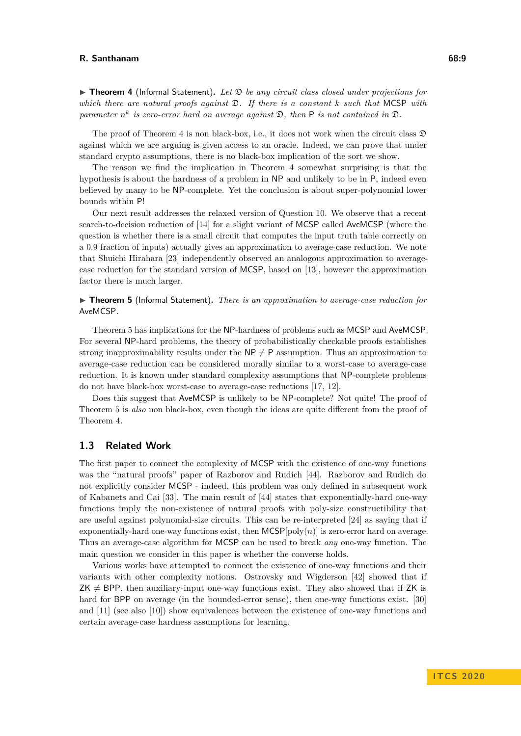▶ **Theorem 4** (Informal Statement). Let  $\mathcal{D}$  be any circuit class closed under projections for *which there are natural proofs against* D*. If there is a constant k such that* MCSP *with parameter*  $n^k$  *is zero-error hard on average against*  $\mathfrak{D}$ *, then* **P** *is not contained in*  $\mathfrak{D}$ *.* 

The proof of Theorem [4](#page-7-0) is non black-box, i.e., it does not work when the circuit class  $\mathfrak{D}$ against which we are arguing is given access to an oracle. Indeed, we can prove that under standard crypto assumptions, there is no black-box implication of the sort we show.

The reason we find the implication in Theorem [4](#page-7-0) somewhat surprising is that the hypothesis is about the hardness of a problem in NP and unlikely to be in P, indeed even believed by many to be NP-complete. Yet the conclusion is about super-polynomial lower bounds within P!

Our next result addresses the relaxed version of Question 10. We observe that a recent search-to-decision reduction of [\[14\]](#page-23-14) for a slight variant of MCSP called AveMCSP (where the question is whether there is a small circuit that computes the input truth table correctly on a 0.9 fraction of inputs) actually gives an approximation to average-case reduction. We note that Shuichi Hirahara [\[23\]](#page-24-0) independently observed an analogous approximation to averagecase reduction for the standard version of MCSP, based on [\[13\]](#page-23-15), however the approximation factor there is much larger.

# <span id="page-8-0"></span>▶ **Theorem 5** (Informal Statement). *There is an approximation to average-case reduction for* AveMCSP*.*

Theorem [5](#page-8-0) has implications for the NP-hardness of problems such as MCSP and AveMCSP. For several NP-hard problems, the theory of probabilistically checkable proofs establishes strong inapproximability results under the  $NP \neq P$  assumption. Thus an approximation to average-case reduction can be considered morally similar to a worst-case to average-case reduction. It is known under standard complexity assumptions that NP-complete problems do not have black-box worst-case to average-case reductions [\[17,](#page-24-9) [12\]](#page-23-10).

Does this suggest that AveMCSP is unlikely to be NP-complete? Not quite! The proof of Theorem [5](#page-8-0) is *also* non black-box, even though the ideas are quite different from the proof of Theorem [4.](#page-7-0)

# **1.3 Related Work**

The first paper to connect the complexity of MCSP with the existence of one-way functions was the "natural proofs" paper of Razborov and Rudich [\[44\]](#page-25-0). Razborov and Rudich do not explicitly consider MCSP - indeed, this problem was only defined in subsequent work of Kabanets and Cai [\[33\]](#page-24-5). The main result of [\[44\]](#page-25-0) states that exponentially-hard one-way functions imply the non-existence of natural proofs with poly-size constructibility that are useful against polynomial-size circuits. This can be re-interpreted [\[24\]](#page-24-4) as saying that if exponentially-hard one-way functions exist, then  $MCSP[poly(n)]$  is zero-error hard on average. Thus an average-case algorithm for MCSP can be used to break *any* one-way function. The main question we consider in this paper is whether the converse holds.

Various works have attempted to connect the existence of one-way functions and their variants with other complexity notions. Ostrovsky and Wigderson [\[42\]](#page-25-3) showed that if  $ZK \neq BPP$ , then auxiliary-input one-way functions exist. They also showed that if ZK is hard for BPP on average (in the bounded-error sense), then one-way functions exist. [\[30\]](#page-24-15) and [\[11\]](#page-23-8) (see also [\[10\]](#page-23-1)) show equivalences between the existence of one-way functions and certain average-case hardness assumptions for learning.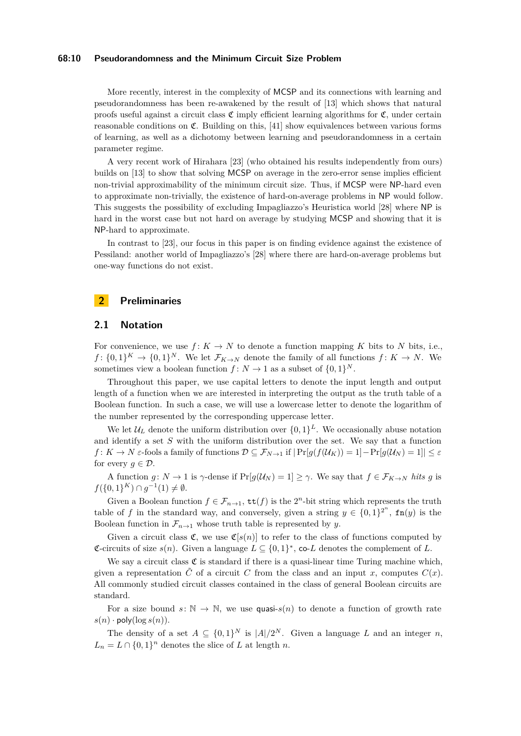#### **68:10 Pseudorandomness and the Minimum Circuit Size Problem**

More recently, interest in the complexity of MCSP and its connections with learning and pseudorandomness has been re-awakened by the result of [\[13\]](#page-23-15) which shows that natural proofs useful against a circuit class  $\mathfrak C$  imply efficient learning algorithms for  $\mathfrak C$ , under certain reasonable conditions on  $\mathfrak{C}$ . Building on this, [\[41\]](#page-25-8) show equivalences between various forms of learning, as well as a dichotomy between learning and pseudorandomness in a certain parameter regime.

A very recent work of Hirahara [\[23\]](#page-24-0) (who obtained his results independently from ours) builds on [\[13\]](#page-23-15) to show that solving MCSP on average in the zero-error sense implies efficient non-trivial approximability of the minimum circuit size. Thus, if MCSP were NP-hard even to approximate non-trivially, the existence of hard-on-average problems in NP would follow. This suggests the possibility of excluding Impagliazzo's Heuristica world [\[28\]](#page-24-14) where NP is hard in the worst case but not hard on average by studying MCSP and showing that it is NP-hard to approximate.

In contrast to [\[23\]](#page-24-0), our focus in this paper is on finding evidence against the existence of Pessiland: another world of Impagliazzo's [\[28\]](#page-24-14) where there are hard-on-average problems but one-way functions do not exist.

# <span id="page-9-0"></span>**2 Preliminaries**

# **2.1 Notation**

For convenience, we use  $f: K \to N$  to denote a function mapping K bits to N bits, i.e.,  $f: \{0,1\}^K \to \{0,1\}^N$ . We let  $\mathcal{F}_{K\to N}$  denote the family of all functions  $f: K \to N$ . We sometimes view a boolean function  $f: N \to 1$  as a subset of  $\{0, 1\}^N$ .

Throughout this paper, we use capital letters to denote the input length and output length of a function when we are interested in interpreting the output as the truth table of a Boolean function. In such a case, we will use a lowercase letter to denote the logarithm of the number represented by the corresponding uppercase letter.

We let  $\mathcal{U}_L$  denote the uniform distribution over  $\{0,1\}^L$ . We occasionally abuse notation and identify a set *S* with the uniform distribution over the set. We say that a function *f* :  $K \to N$   $\varepsilon$ -fools a family of functions  $\mathcal{D} \subseteq \mathcal{F}_{N \to 1}$  if  $|\Pr[g(f(\mathcal{U}_K)) = 1] - \Pr[g(\mathcal{U}_N) = 1]| \leq \varepsilon$ for every  $g \in \mathcal{D}$ .

A function *g*:  $N \to 1$  is  $\gamma$ -dense if  $Pr[g(\mathcal{U}_N) = 1] \geq \gamma$ . We say that  $f \in \mathcal{F}_{K \to N}$  *hits g* is *f*({0, 1}<sup>*K*</sup>)∩ *g*<sup>-1</sup>(1)  $\neq$  Ø.

Given a Boolean function  $f \in \mathcal{F}_{n\to 1}$ ,  $\text{tt}(f)$  is the 2<sup>*n*</sup>-bit string which represents the truth table of *f* in the standard way, and conversely, given a string  $y \in \{0,1\}^{2^n}$ ,  $fn(y)$  is the Boolean function in  $\mathcal{F}_{n\to 1}$  whose truth table is represented by *y*.

Given a circuit class  $\mathfrak{C}$ , we use  $\mathfrak{C}[s(n)]$  to refer to the class of functions computed by **€**-circuits of size  $s(n)$ . Given a language  $L \subseteq \{0, 1\}^*$ , co-*L* denotes the complement of *L*.

We say a circuit class  $\mathfrak C$  is standard if there is a quasi-linear time Turing machine which, given a representation  $\tilde{C}$  of a circuit *C* from the class and an input *x*, computes  $C(x)$ . All commonly studied circuit classes contained in the class of general Boolean circuits are standard.

For a size bound  $s: \mathbb{N} \to \mathbb{N}$ , we use quasi- $s(n)$  to denote a function of growth rate  $s(n)$  · poly( $\log s(n)$ ).

The density of a set  $A \subseteq \{0,1\}^N$  is  $|A|/2^N$ . Given a language L and an integer n,  $L_n = L \cap \{0, 1\}^n$  denotes the slice of *L* at length *n*.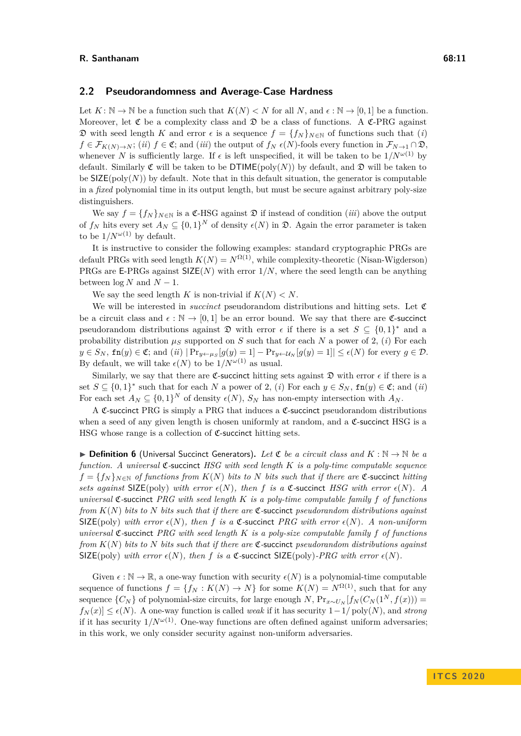#### **2.2 Pseudorandomness and Average-Case Hardness**

Let  $K: \mathbb{N} \to \mathbb{N}$  be a function such that  $K(N) < N$  for all N, and  $\epsilon: \mathbb{N} \to [0,1]$  be a function. Moreover, let  $\mathfrak C$  be a complexity class and  $\mathfrak D$  be a class of functions. A  $\mathfrak C$ -PRG against  $\mathfrak D$  with seed length *K* and error *ε* is a sequence  $f = \{f_N\}_{N \in \mathbb N}$  of functions such that (*i*)  $f \in \mathcal{F}_{K(N) \to N}$ ; (*ii*)  $f \in \mathfrak{C}$ ; and (*iii*) the output of  $f_N \in (N)$ -fools every function in  $\mathcal{F}_{N \to 1} \cap \mathfrak{D}$ , whenever *N* is sufficiently large. If  $\epsilon$  is left unspecified, it will be taken to be  $1/N^{\omega(1)}$  by default. Similarly  $\mathfrak C$  will be taken to be  $DTIME(poly(N))$  by default, and  $\mathfrak D$  will be taken to be  $\mathsf{SIZE}(\text{poly}(N))$  by default. Note that in this default situation, the generator is computable in a *fixed* polynomial time in its output length, but must be secure against arbitrary poly-size distinguishers.

We say  $f = \{f_N\}_{N \in \mathbb{N}}$  is a  $\mathfrak{C}$ -HSG against  $\mathfrak{D}$  if instead of condition *(iii)* above the output of  $f_N$  hits every set  $A_N \subseteq \{0,1\}^N$  of density  $\epsilon(N)$  in  $\mathfrak{D}$ . Again the error parameter is taken to be  $1/N^{\omega(1)}$  by default.

It is instructive to consider the following examples: standard cryptographic PRGs are default PRGs with seed length  $K(N) = N^{\Omega(1)}$ , while complexity-theoretic (Nisan-Wigderson) PRGs are E-PRGs against SIZE(*N*) with error 1*/N*, where the seed length can be anything between  $\log N$  and  $N-1$ .

We say the seed length *K* is non-trivial if  $K(N) < N$ .

We will be interested in *succinct* pseudorandom distributions and hitting sets. Let  $\mathfrak{C}$ be a circuit class and  $\epsilon : \mathbb{N} \to [0, 1]$  be an error bound. We say that there are **C-succinct** pseudorandom distributions against  $\mathfrak{D}$  with error  $\epsilon$  if there is a set  $S \subseteq \{0,1\}^*$  and a probability distribution  $\mu_S$  supported on *S* such that for each *N* a power of 2, *(i)* For each  $y \in S_N$ ,  $\text{fn}(y) \in \mathfrak{C}$ ; and  $(ii) | \Pr_{y \leftarrow \mu_S}[g(y) = 1] - \Pr_{y \leftarrow \mathcal{U}_N}[g(y) = 1] | \leq \epsilon(N)$  for every  $g \in \mathcal{D}$ . By default, we will take  $\epsilon(N)$  to be  $1/N^{\omega(1)}$  as usual.

Similarly, we say that there are **C-succinct** hitting sets against  $\mathfrak{D}$  with error  $\epsilon$  if there is a set  $S \subseteq \{0,1\}^*$  such that for each *N* a power of 2, (*i*) For each  $y \in S_N$ ,  $fn(y) \in \mathfrak{C}$ ; and (*ii*) For each set  $A_N \subseteq \{0,1\}^N$  of density  $\epsilon(N)$ ,  $S_N$  has non-empty intersection with  $A_N$ .

A C-succinct PRG is simply a PRG that induces a C-succinct pseudorandom distributions when a seed of any given length is chosen uniformly at random, and a  $\mathfrak{C}\text{-}$  succinct HSG is a HSG whose range is a collection of  $\mathfrak{C}$ -succinct hitting sets.

**▶ Definition 6** (Universal Succinct Generators). Let  $\mathfrak{C}$  be a circuit class and  $K : \mathbb{N} \to \mathbb{N}$  be a *function. A universal* C*-*succinct *HSG with seed length K is a poly-time computable sequence*  $f = \{f_N\}_{N \in \mathbb{N}}$  *of functions from*  $K(N)$  *bits to*  $N$  *bits such that if there are*  $\mathfrak{C}$ -succinct *hitting sets against* SIZE(poly) *with error*  $\epsilon(N)$ *, then f is a* C-succinct *HSG with error*  $\epsilon(N)$ *. A universal* C*-*succinct *PRG with seed length K is a poly-time computable family f of functions from K*(*N*) *bits to N bits such that if there are* C*-*succinct *pseudorandom distributions against* SIZE(poly) with error  $\epsilon(N)$ , then f is a  $\mathfrak{C}$ -succinct *PRG* with error  $\epsilon(N)$ . A non-uniform *universal* C*-*succinct *PRG with seed length K is a poly-size computable family f of functions from K*(*N*) *bits to N bits such that if there are* C*-*succinct *pseudorandom distributions against* SIZE(poly) with error  $\epsilon(N)$ , then f is a  $\mathfrak{C}$ -succinct SIZE(poly)-PRG with error  $\epsilon(N)$ .

Given  $\epsilon : \mathbb{N} \to \mathbb{R}$ , a one-way function with security  $\epsilon(N)$  is a polynomial-time computable sequence of functions  $f = \{f_N : K(N) \to N\}$  for some  $K(N) = N^{\Omega(1)}$ , such that for any sequence  $\{C_N\}$  of polynomial-size circuits, for large enough *N*,  $\Pr_{x \sim U_N}[f_N(C_N(1^N, f(x)))$  =  $f_N(x) \leq \epsilon(N)$ . A one-way function is called *weak* if it has security  $1-1/\text{poly}(N)$ , and *strong* if it has security  $1/N^{\omega(1)}$ . One-way functions are often defined against uniform adversaries; in this work, we only consider security against non-uniform adversaries.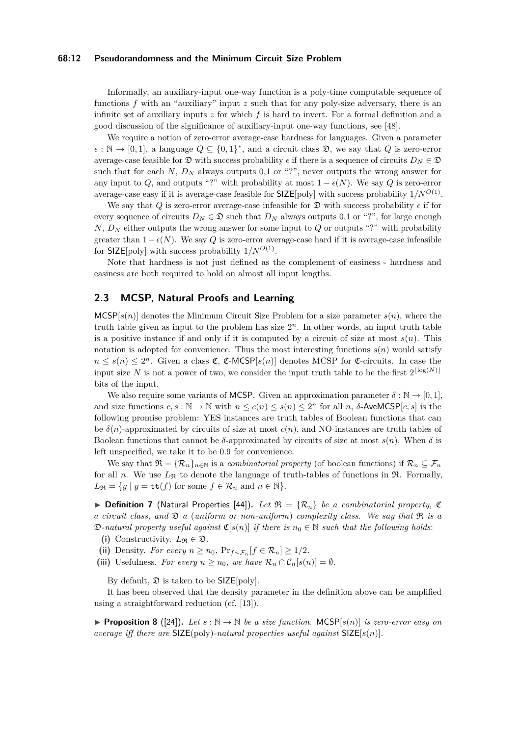#### **68:12 Pseudorandomness and the Minimum Circuit Size Problem**

Informally, an auxiliary-input one-way function is a poly-time computable sequence of functions *f* with an "auxiliary" input *z* such that for any poly-size adversary, there is an infinite set of auxiliary inputs *z* for which *f* is hard to invert. For a formal definition and a good discussion of the significance of auxiliary-input one-way functions, see [\[48\]](#page-25-16).

We require a notion of zero-error average-case hardness for languages. Given a parameter  $\epsilon : \mathbb{N} \to [0,1],$  a language  $Q \subseteq \{0,1\}^*$ , and a circuit class  $\mathfrak{D}$ , we say that  $Q$  is zero-error average-case feasible for  $\mathfrak{D}$  with success probability  $\epsilon$  if there is a sequence of circuits  $D_N \in \mathfrak{D}$ such that for each  $N$ ,  $D_N$  always outputs 0,1 or "?", never outputs the wrong answer for any input to *Q*, and outputs "?" with probability at most  $1 - \epsilon(N)$ . We say *Q* is zero-error average-case easy if it is average-case feasible for  $SLSE[poly]$  with success probability  $1/N^{O(1)}$ .

We say that *Q* is zero-error average-case infeasible for  $\mathfrak D$  with success probability  $\epsilon$  if for every sequence of circuits  $D_N \in \mathfrak{D}$  such that  $D_N$  always outputs 0,1 or "?", for large enough *N*, *D<sup>N</sup>* either outputs the wrong answer for some input to *Q* or outputs "?" with probability greater than  $1-\epsilon(N)$ . We say *Q* is zero-error average-case hard if it is average-case infeasible for  $\text{SIZE}[\text{poly}]$  with success probability  $1/N^{O(1)}$ .

Note that hardness is not just defined as the complement of easiness - hardness and easiness are both required to hold on almost all input lengths.

# **2.3 MCSP, Natural Proofs and Learning**

 $MCSP[s(n)]$  denotes the Minimum Circuit Size Problem for a size parameter  $s(n)$ , where the truth table given as input to the problem has size  $2<sup>n</sup>$ . In other words, an input truth table is a positive instance if and only if it is computed by a circuit of size at most  $s(n)$ . This notation is adopted for convenience. Thus the most interesting functions  $s(n)$  would satisfy  $n \leq s(n) \leq 2^n$ . Given a class  $\mathfrak{C}, \mathfrak{C}\text{-MCSP}[s(n)]$  denotes MCSP for  $\mathfrak{C}\text{-circuits}$ . In case the input size N is not a power of two, we consider the input truth table to be the first  $2^{\lfloor \log(N) \rfloor}$ bits of the input.

We also require some variants of MCSP. Given an approximation parameter  $\delta : \mathbb{N} \to [0,1],$ and size functions  $c, s : \mathbb{N} \to \mathbb{N}$  with  $n \leq c(n) \leq s(n) \leq 2^n$  for all  $n, \delta$ -AveMCSP $[c, s]$  is the following promise problem: YES instances are truth tables of Boolean functions that can be  $\delta(n)$ -approximated by circuits of size at most  $c(n)$ , and NO instances are truth tables of Boolean functions that cannot be  $\delta$ -approximated by circuits of size at most  $s(n)$ . When  $\delta$  is left unspecified, we take it to be 0.9 for convenience.

We say that  $\mathfrak{R} = {\mathcal{R}_n}_{n \in \mathbb{N}}$  is a *combinatorial property* (of boolean functions) if  $\mathcal{R}_n \subseteq \mathcal{F}_n$ for all *n*. We use  $L_{\mathfrak{R}}$  to denote the language of truth-tables of functions in  $\mathfrak{R}$ . Formally,  $L_{\mathfrak{R}} = \{y \mid y = \mathtt{tt}(f) \text{ for some } f \in \mathcal{R}_n \text{ and } n \in \mathbb{N}\}.$ 

 $\triangleright$  **Definition 7** (Natural Properties [\[44\]](#page-25-0)). Let  $\mathfrak{R} = \{ \mathcal{R}_n \}$  be a combinatorial property, C *a circuit class, and* D *a* (*uniform or non-uniform*) *complexity class. We say that* R *is a*  $\mathfrak{D}\text{-}natural \text{ property useful against } \mathfrak{C}[s(n)] \text{ if there is } n_0 \in \mathbb{N} \text{ such that the following holds:}$ 

(i) Constructivity.  $L_{\mathfrak{R}} \in \mathfrak{D}$ .

(ii) Density. *For every*  $n \geq n_0$ ,  $\Pr_{f \sim \mathcal{F}_n}[f \in \mathcal{R}_n] \geq 1/2$ *.* 

(iii) Usefulness. *For every*  $n \geq n_0$ *, we have*  $\mathcal{R}_n \cap \mathcal{C}_n[s(n)] = \emptyset$ *.* 

By default,  $\mathfrak D$  is taken to be SIZE[poly].

It has been observed that the density parameter in the definition above can be amplified using a straightforward reduction (cf. [\[13\]](#page-23-15)).

**Proposition 8** ([\[24\]](#page-24-4)). Let  $s : \mathbb{N} \to \mathbb{N}$  be a size function. MCSP[ $s(n)$ ] is zero-error easy on *average iff there are* SIZE(poly)*-natural properties useful against* SIZE[*s*(*n*)]*.*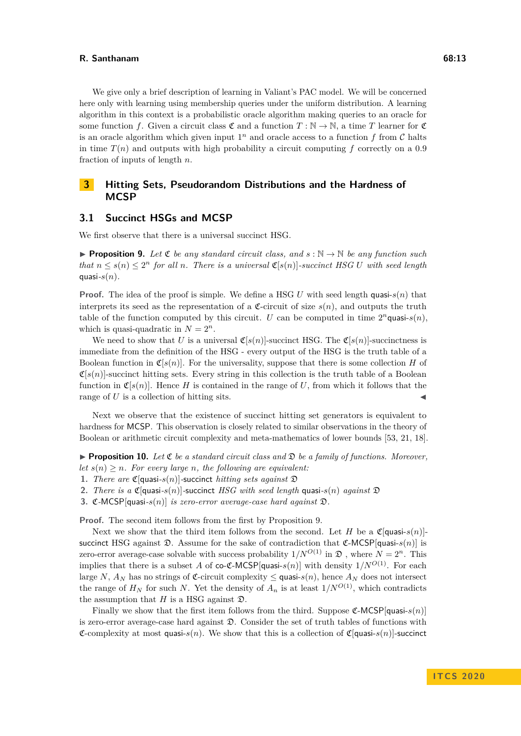We give only a brief description of learning in Valiant's PAC model. We will be concerned here only with learning using membership queries under the uniform distribution. A learning algorithm in this context is a probabilistic oracle algorithm making queries to an oracle for some function *f*. Given a circuit class  $\mathfrak{C}$  and a function  $T : \mathbb{N} \to \mathbb{N}$ , a time *T* learner for  $\mathfrak{C}$ is an oracle algorithm which given input  $1<sup>n</sup>$  and oracle access to a function  $f$  from  $C$  halts in time  $T(n)$  and outputs with high probability a circuit computing f correctly on a 0.9 fraction of inputs of length *n*.

# <span id="page-12-1"></span>**3 Hitting Sets, Pseudorandom Distributions and the Hardness of MCSP**

## <span id="page-12-0"></span>**3.1 Succinct HSGs and MCSP**

<span id="page-12-2"></span>We first observe that there is a universal succinct HSG.

**Proposition 9.** Let  $\mathfrak{C}$  *be any standard circuit class, and*  $s : \mathbb{N} \to \mathbb{N}$  *be any function such that*  $n \leq s(n) \leq 2^n$  *for all n. There is a universal*  $\mathfrak{C}[s(n)]$ *-succinct HSG U with seed length* quasi- $s(n)$ .

**Proof.** The idea of the proof is simple. We define a HSG U with seed length quasi- $s(n)$  that interprets its seed as the representation of a  $\mathfrak{C}$ -circuit of size  $s(n)$ , and outputs the truth table of the function computed by this circuit. *U* can be computed in time  $2^n$ quasi- $s(n)$ , which is quasi-quadratic in  $N = 2<sup>n</sup>$ .

We need to show that *U* is a universal  $\mathfrak{C}[s(n)]$ -succinct HSG. The  $\mathfrak{C}[s(n)]$ -succinctness is immediate from the definition of the HSG - every output of the HSG is the truth table of a Boolean function in  $\mathfrak{C}[s(n)]$ . For the universality, suppose that there is some collection *H* of  $\mathfrak{C}[s(n)]$ -succinct hitting sets. Every string in this collection is the truth table of a Boolean function in  $\mathfrak{C}[s(n)]$ . Hence *H* is contained in the range of *U*, from which it follows that the range of  $U$  is a collection of hitting sits.

Next we observe that the existence of succinct hitting set generators is equivalent to hardness for MCSP. This observation is closely related to similar observations in the theory of Boolean or arithmetic circuit complexity and meta-mathematics of lower bounds [\[53,](#page-25-7) [21,](#page-24-16) [18\]](#page-24-17).

<span id="page-12-3"></span>**Proposition 10.** Let  $\mathfrak{C}$  be a standard circuit class and  $\mathfrak{D}$  be a family of functions. Moreover, *let*  $s(n) \geq n$ *. For every large n, the following are equivalent:* 

- **1.** *There are*  $\mathfrak{C}[\text{quasi-}s(n)]$ -succinct *hitting sets against*  $\mathfrak{D}$
- **2.** *There is a*  $\mathfrak{C}[\text{quasi-}s(n)]$ -succinct *HSG with seed length* quasi- $s(n)$  *against*  $\mathfrak{D}$
- **3.** C*-*MCSP[quasi*-s*(*n*)] *is zero-error average-case hard against* D*.*

**Proof.** The second item follows from the first by Proposition [9.](#page-12-2)

Next we show that the third item follows from the second. Let *H* be a  $\mathfrak{C}[\text{quasi-}s(n)]$ succinct HSG against  $\mathfrak{D}$ . Assume for the sake of contradiction that  $\mathfrak{C}\text{-MCSP}[\text{quasi-}s(n)]$  is zero-error average-case solvable with success probability  $1/N^{O(1)}$  in  $\mathfrak{D}$ , where  $N = 2^n$ . This implies that there is a subset *A* of co-C-MCSP[quasi- $s(n)$ ] with density  $1/N^{O(1)}$ . For each large *N*,  $A_N$  has no strings of **C**-circuit complexity  $\leq$  quasi- $s(n)$ , hence  $A_N$  does not intersect the range of  $H_N$  for such *N*. Yet the density of  $A_n$  is at least  $1/N^{O(1)}$ , which contradicts the assumption that  $H$  is a HSG against  $\mathfrak{D}$ .

Finally we show that the first item follows from the third. Suppose  $\mathfrak{C}\text{-MCSP}[\text{quasi-}s(n)]$ is zero-error average-case hard against D. Consider the set of truth tables of functions with  $\mathfrak{C}$ -complexity at most quasi-*s*(*n*). We show that this is a collection of  $\mathfrak{C}$ [quasi-*s*(*n*)]-succinct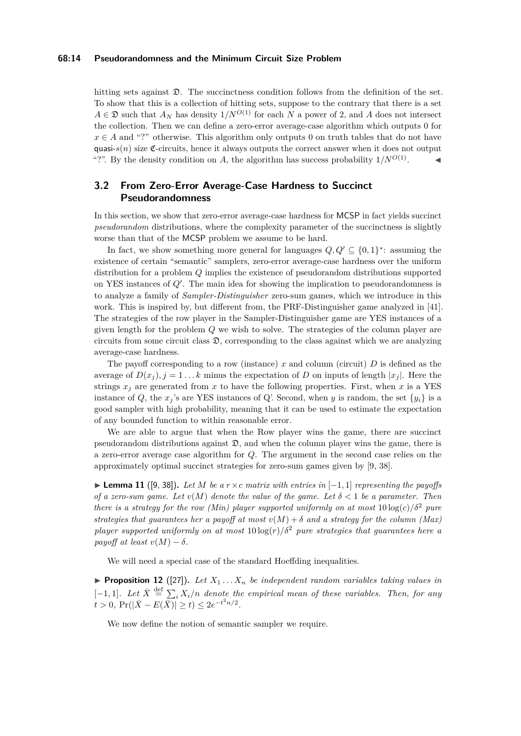#### **68:14 Pseudorandomness and the Minimum Circuit Size Problem**

hitting sets against  $\mathfrak{D}$ . The succinctness condition follows from the definition of the set. To show that this is a collection of hitting sets, suppose to the contrary that there is a set  $A \in \mathfrak{D}$  such that  $A_N$  has density  $1/N^{O(1)}$  for each *N* a power of 2, and *A* does not intersect the collection. Then we can define a zero-error average-case algorithm which outputs 0 for  $x \in A$  and "?" otherwise. This algorithm only outputs 0 on truth tables that do not have quasi- $s(n)$  size  $\mathfrak{C}$ -circuits, hence it always outputs the correct answer when it does not output "?". By the density condition on *A*, the algorithm has success probability  $1/N^{O(1)}$ .  $\mathcal{L} = \mathcal{A}$ 

# **3.2 From Zero-Error Average-Case Hardness to Succinct Pseudorandomness**

In this section, we show that zero-error average-case hardness for MCSP in fact yields succinct *pseudorandom* distributions, where the complexity parameter of the succinctness is slightly worse than that of the MCSP problem we assume to be hard.

In fact, we show something more general for languages  $Q, Q' \subseteq \{0, 1\}^*$ : assuming the existence of certain "semantic" samplers, zero-error average-case hardness over the uniform distribution for a problem *Q* implies the existence of pseudorandom distributions supported on YES instances of  $Q'$ . The main idea for showing the implication to pseudorandomness is to analyze a family of *Sampler-Distinguisher* zero-sum games, which we introduce in this work. This is inspired by, but different from, the PRF-Distinguisher game analyzed in [\[41\]](#page-25-8). The strategies of the row player in the Sampler-Distinguisher game are YES instances of a given length for the problem *Q* we wish to solve. The strategies of the column player are circuits from some circuit class  $\mathfrak{D}$ , corresponding to the class against which we are analyzing average-case hardness.

The payoff corresponding to a row (instance) *x* and column (circuit) *D* is defined as the average of  $D(x_i)$ ,  $j = 1...k$  minus the expectation of *D* on inputs of length  $|x_i|$ . Here the strings  $x_j$  are generated from  $x$  to have the following properties. First, when  $x$  is a YES instance of *Q*, the *x*<sub>*j*</sub>'s are YES instances of *Q*'. Second, when *y* is random, the set  $\{y_i\}$  is a good sampler with high probability, meaning that it can be used to estimate the expectation of any bounded function to within reasonable error.

We are able to argue that when the Row player wins the game, there are succinct pseudorandom distributions against  $\mathfrak{D}$ , and when the column player wins the game, there is a zero-error average case algorithm for *Q*. The argument in the second case relies on the approximately optimal succinct strategies for zero-sum games given by [\[9,](#page-23-11) [38\]](#page-25-12).

<span id="page-13-0"></span>► **Lemma 11** ([\[9,](#page-23-11) [38\]](#page-25-12)). Let M be a  $r \times c$  matrix with entries in  $[-1, 1]$  representing the payoffs *of a zero-sum game. Let*  $v(M)$  *denote the value of the game. Let*  $\delta < 1$  *be a parameter. Then there is a strategy for the row (Min) player supported uniformly on at most*  $10 \log(c)/\delta^2$  *pure strategies that guarantees her a payoff at most*  $v(M) + \delta$  *and a strategy for the column (Max) player supported uniformly on at most*  $10 \log(r)/\delta^2$  *pure strategies that guarantees here a payoff at least*  $v(M) - \delta$ .

We will need a special case of the standard Hoeffding inequalities.

<span id="page-13-1"></span>**Proposition 12** ([\[27\]](#page-24-18)). Let  $X_1 \ldots X_n$  be independent random variables taking values in  $[-1, 1]$ *. Let*  $\bar{X} \stackrel{\text{def}}{=} \sum_i X_i/n$  denote the empirical mean of these variables. Then, for any  $t > 0$ ,  $Pr(|\bar{X} - E(\bar{X})| \ge t) \le 2e^{-t^2n/2}$ .

We now define the notion of semantic sampler we require.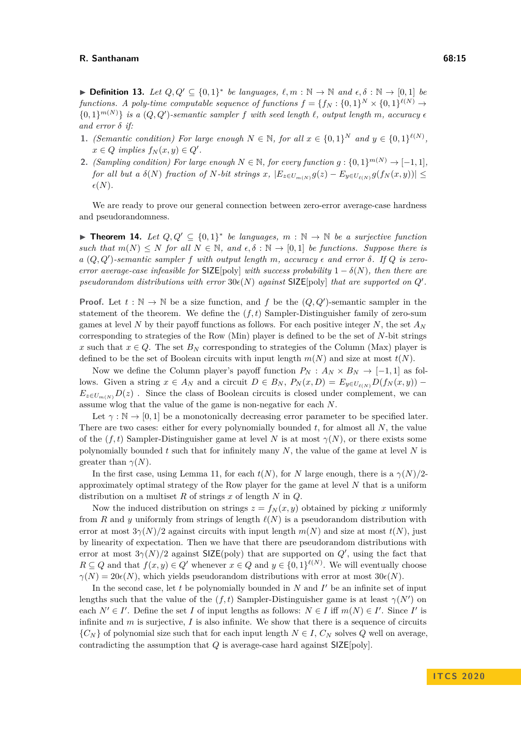**► Definition 13.** Let  $Q, Q' \subseteq \{0, 1\}^*$  be languages,  $\ell, m : \mathbb{N} \to \mathbb{N}$  and  $\epsilon, \delta : \mathbb{N} \to [0, 1]$  be *functions.* A poly-time computable sequence of functions  $f = \{f_N : \{0,1\}^N \times \{0,1\}^{\ell(N)} \to$  $\{0,1\}^{m(N)}\}$  *is a*  $(Q, Q')$ -semantic sampler f with seed length  $\ell$ , output length m, accuracy  $\epsilon$ *and error δ if:*

- **1.** *(Semantic condition) For large enough*  $N \in \mathbb{N}$ , for all  $x \in \{0,1\}^N$  and  $y \in \{0,1\}^{\ell(N)}$ ,  $x \in Q$  *implies*  $f_N(x, y) \in Q'$ .
- **2.** *(Sampling condition) For large enough*  $N \in \mathbb{N}$ *, for every function*  $g: \{0,1\}^{m(N)} \to [-1,1]$ *,* for all but a  $\delta(N)$  fraction of N-bit strings x,  $|E_{z \in U_{m(N)}} g(z) - E_{y \in U_{\ell(N)}} g(f_N(x, y))|$   $\leq$  $\epsilon(N)$ .

We are ready to prove our general connection between zero-error average-case hardness and pseudorandomness.

<span id="page-14-0"></span>**► Theorem 14.** Let  $Q, Q' \subseteq \{0, 1\}^*$  be languages,  $m : \mathbb{N} \to \mathbb{N}$  be a surjective function *such that*  $m(N) \leq N$  *for all*  $N \in \mathbb{N}$ *, and*  $\epsilon, \delta : \mathbb{N} \to [0,1]$  *be functions. Suppose there is*  $a(Q,Q')$ -semantic sampler  $f$  with output length  $m$ , accuracy  $\epsilon$  and error  $\delta$ . If  $Q$  is zero*error average-case infeasible for*  $\text{SIZE}[\text{poly}]$  *with success probability*  $1 - \delta(N)$ *, then there are* pseudorandom distributions with error  $30\epsilon(N)$  against SIZE[poly] that are supported on  $Q'$ .

**Proof.** Let  $t : \mathbb{N} \to \mathbb{N}$  be a size function, and  $f$  be the  $(Q, Q')$ -semantic sampler in the statement of the theorem. We define the  $(f, t)$  Sampler-Distinguisher family of zero-sum games at level *N* by their payoff functions as follows. For each positive integer *N*, the set  $A_N$ corresponding to strategies of the Row (Min) player is defined to be the set of *N*-bit strings *x* such that  $x \in Q$ . The set  $B_N$  corresponding to strategies of the Column (Max) player is defined to be the set of Boolean circuits with input length  $m(N)$  and size at most  $t(N)$ .

Now we define the Column player's payoff function  $P_N$ :  $A_N \times B_N \rightarrow [-1,1]$  as follows. Given a string  $x \in A_N$  and a circuit  $D \in B_N$ ,  $P_N(x, D) = E_{y \in U_{\ell(N)}} D(f_N(x, y))$  –  $E_{z \in U_{m(N)}} D(z)$ . Since the class of Boolean circuits is closed under complement, we can assume wlog that the value of the game is non-negative for each *N*.

Let  $\gamma : \mathbb{N} \to [0,1]$  be a monotonically decreasing error parameter to be specified later. There are two cases: either for every polynomially bounded *t*, for almost all *N*, the value of the  $(f, t)$  Sampler-Distinguisher game at level *N* is at most  $\gamma(N)$ , or there exists some polynomially bounded *t* such that for infinitely many *N*, the value of the game at level *N* is greater than  $\gamma(N)$ .

In the first case, using Lemma [11,](#page-13-0) for each  $t(N)$ , for *N* large enough, there is a  $\gamma(N)/2$ approximately optimal strategy of the Row player for the game at level *N* that is a uniform distribution on a multiset *R* of strings *x* of length *N* in *Q*.

Now the induced distribution on strings  $z = f_N(x, y)$  obtained by picking *x* uniformly from *R* and *y* uniformly from strings of length  $\ell(N)$  is a pseudorandom distribution with error at most  $3\gamma(N)/2$  against circuits with input length  $m(N)$  and size at most  $t(N)$ , just by linearity of expectation. Then we have that there are pseudorandom distributions with error at most  $3\gamma(N)/2$  against SIZE(poly) that are supported on  $Q'$ , using the fact that  $R \subseteq Q$  and that  $f(x, y) \in Q'$  whenever  $x \in Q$  and  $y \in \{0, 1\}^{\ell(N)}$ . We will eventually choose  $\gamma(N) = 20\epsilon(N)$ , which yields pseudorandom distributions with error at most  $30\epsilon(N)$ .

In the second case, let  $t$  be polynomially bounded in  $N$  and  $I'$  be an infinite set of input lengths such that the value of the  $(f, t)$  Sampler-Distinguisher game is at least  $\gamma(N')$  on each  $N' \in I'$ . Define the set *I* of input lengths as follows:  $N \in I$  iff  $m(N) \in I'$ . Since *I'* is infinite and *m* is surjective, *I* is also infinite. We show that there is a sequence of circuits  ${C_N}$  of polynomial size such that for each input length  $N \in I$ ,  $C_N$  solves  $Q$  well on average, contradicting the assumption that *Q* is average-case hard against SIZE[poly].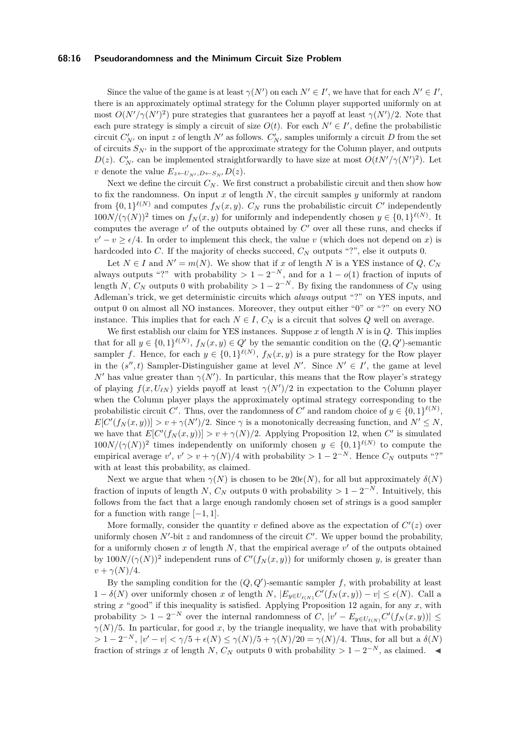#### **68:16 Pseudorandomness and the Minimum Circuit Size Problem**

Since the value of the game is at least  $\gamma(N')$  on each  $N' \in I'$ , we have that for each  $N' \in I'$ , there is an approximately optimal strategy for the Column player supported uniformly on at most  $O(N'/\gamma(N')^2)$  pure strategies that guarantees her a payoff at least  $\gamma(N')/2$ . Note that each pure strategy is simply a circuit of size  $O(t)$ . For each  $N' \in I'$ , define the probabilistic circuit  $C'_{N'}$  on input *z* of length  $N'$  as follows.  $C'_{N'}$  samples uniformly a circuit *D* from the set of circuits  $S_{N'}$  in the support of the approximate strategy for the Column player, and outputs *D*(*z*). *C*<sup>'</sup><sub>*N*</sub></sub> can be implemented straightforwardly to have size at most  $O(tN'/\gamma(N')^2)$ . Let *v* denote the value  $E_{z \leftarrow U_{N}, D \leftarrow S_{N}} D(z)$ .

Next we define the circuit  $C_N$ . We first construct a probabilistic circuit and then show how to fix the randomness. On input *x* of length *N*, the circuit samples *y* uniformly at random from  $\{0,1\}^{\ell(N)}$  and computes  $f_N(x,y)$ .  $C_N$  runs the probabilistic circuit  $C'$  independently  $100N/(\gamma(N))^2$  times on  $f_N(x, y)$  for uniformly and independently chosen  $y \in \{0, 1\}^{\ell(N)}$ . It computes the average  $v'$  of the outputs obtained by  $C'$  over all these runs, and checks if  $v' - v \geq \epsilon/4$ . In order to implement this check, the value *v* (which does not depend on *x*) is hardcoded into *C*. If the majority of checks succeed,  $C_N$  outputs "?", else it outputs 0.

Let  $N \in I$  and  $N' = m(N)$ . We show that if *x* of length *N* is a YES instance of *Q*,  $C_N$ always outputs "?" with probability  $> 1 - 2^{-N}$ , and for a  $1 - o(1)$  fraction of inputs of length *N*,  $C_N$  outputs 0 with probability  $> 1 - 2^{-N}$ . By fixing the randomness of  $C_N$  using Adleman's trick, we get deterministic circuits which *always* output "?" on YES inputs, and output 0 on almost all NO instances. Moreover, they output either "0" or "?" on every NO instance. This implies that for each  $N \in I$ ,  $C_N$  is a circuit that solves  $Q$  well on average.

We first establish our claim for YES instances. Suppose *x* of length *N* is in *Q*. This implies that for all  $y \in \{0,1\}^{\ell(N)}$ ,  $f_N(x,y) \in Q'$  by the semantic condition on the  $(Q, Q')$ -semantic sampler *f*. Hence, for each  $y \in \{0,1\}^{\ell(N)}$ ,  $f_N(x,y)$  is a pure strategy for the Row player in the  $(s'', t)$  Sampler-Distinguisher game at level *N'*. Since  $N' \in I'$ , the game at level *N*<sup> $\prime$ </sup> has value greater than *γ*(*N*<sup> $\prime$ </sup>). In particular, this means that the Row player's strategy of playing  $f(x, U_{\ell N})$  yields payoff at least  $\gamma(N')/2$  in expectation to the Column player when the Column player plays the approximately optimal strategy corresponding to the probabilistic circuit *C*'. Thus, over the randomness of *C*' and random choice of  $y \in \{0,1\}^{\ell(N)}$ ,  $E[C'(f_N(x,y))] > v + \gamma(N')/2$ . Since  $\gamma$  is a monotonically decreasing function, and  $N' \leq N$ , we have that  $E[C'(f_N(x,y))] > v + \gamma(N)/2$ . Applying Proposition [12,](#page-13-1) when C' is simulated  $100N/(\gamma(N))^2$  times independently on uniformly chosen  $y \in \{0,1\}^{\ell(N)}$  to compute the empirical average  $v', v' > v + \gamma(N)/4$  with probability  $> 1 - 2^{-N}$ . Hence  $C_N$  outputs "?" with at least this probability, as claimed.

Next we argue that when  $\gamma(N)$  is chosen to be  $20\epsilon(N)$ , for all but approximately  $\delta(N)$ fraction of inputs of length *N*,  $C_N$  outputs 0 with probability  $> 1 - 2^{-N}$ . Intuitively, this follows from the fact that a large enough randomly chosen set of strings is a good sampler for a function with range  $[-1, 1]$ .

More formally, consider the quantity  $v$  defined above as the expectation of  $C'(z)$  over uniformly chosen  $N'$ -bit  $z$  and randomness of the circuit  $C'$ . We upper bound the probability, for a uniformly chosen  $x$  of length  $N$ , that the empirical average  $v'$  of the outputs obtained by  $100N/(\gamma(N))^2$  independent runs of  $C'(f_N(x,y))$  for uniformly chosen *y*, is greater than *v* +  $\gamma$ (*N*)/4.

By the sampling condition for the  $(Q, Q')$ -semantic sampler f, with probability at least 1 − *δ*(*N*) over uniformly chosen *x* of length *N*,  $|E_{y \in U_{\ell(N)}} C'(f_N(x, y)) - v| \leq \epsilon(N)$ . Call a string *x* "good" if this inequality is satisfied. Applying Proposition [12](#page-13-1) again, for any *x*, with probability  $> 1 - 2^{-N}$  over the internal randomness of *C*,  $|v' - E_{y \in U_{\ell(N)}} C'(f_N(x, y))| \le$  $\gamma(N)/5$ . In particular, for good *x*, by the triangle inequality, we have that with probability  $> 1 - 2^{-N}$ ,  $|v' - v| < \gamma/5 + \epsilon(N) \leq \gamma(N)/5 + \gamma(N)/20 = \gamma(N)/4$ . Thus, for all but a  $\delta(N)$ fraction of strings *x* of length *N*,  $C_N$  outputs 0 with probability > 1 − 2<sup>-*N*</sup>, as claimed.  $\triangleleft$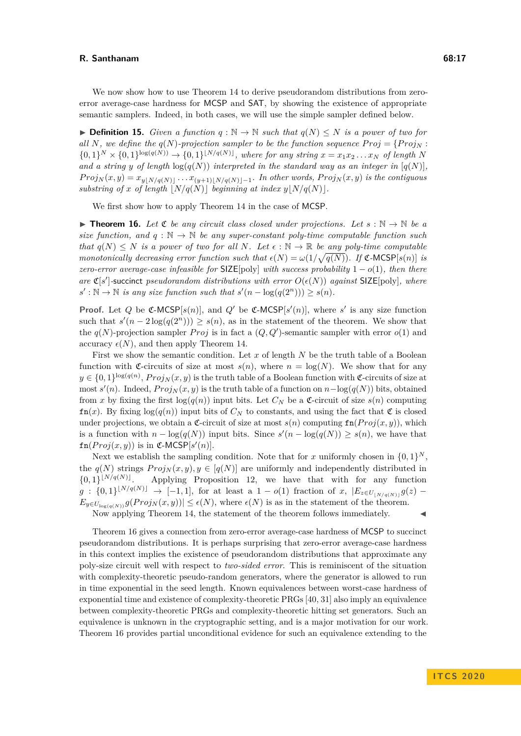**► Definition 15.** *Given a function q* :  $\mathbb{N} \to \mathbb{N}$  *such that*  $q(N) \leq N$  *is a power of two for all N, we define the*  $q(N)$ *-projection sampler to be the function sequence*  $Proj = {Proj_N :}$  $\{0,1\}^N \times \{0,1\}^{\log(q(N))} \to \{0,1\}^{\lfloor N/q(N) \rfloor}$ , where for any string  $x = x_1x_2...x_N$  of length N and a string y of length  $log(q(N))$  interpreted in the standard way as an integer in  $[q(N)]$ ,  $Proj_N(x, y) = x_{y|N/q(N)} \dots x_{y+1|N/q(N)-1}$ *. In other words,*  $Proj_N(x, y)$  *is the contiguous substring of x of length*  $\lfloor N/q(N) \rfloor$  *beginning at index*  $y\lfloor N/q(N) \rfloor$ *.* 

We first show how to apply Theorem [14](#page-14-0) in the case of MCSP.

<span id="page-16-0"></span>**Theorem 16.** Let  $\mathfrak{C}$  *be any circuit class closed under projections. Let*  $s : \mathbb{N} \to \mathbb{N}$  *be a size function, and*  $q : \mathbb{N} \to \mathbb{N}$  *be any super-constant poly-time computable function such that*  $q(N) \leq N$  *is a power of two for all N. Let*  $\epsilon : \mathbb{N} \to \mathbb{R}$  *be any poly-time computable monotonically decreasing error function such that*  $\epsilon(N) = \omega(1/\sqrt{q(N)})$ . If  $\mathfrak{C}\text{-MCSP}[s(n)]$  *is zero-error average-case infeasible for*  $SIZE[poly]$  *with success probability*  $1 - o(1)$ *, then there are*  $\mathfrak{C}[s']$ -succinct *pseudorandom distributions with error*  $O(\epsilon(N))$  *against* SIZE[poly]*, where*  $s' : \mathbb{N} \to \mathbb{N}$  *is any size function such that*  $s'(n - \log(q(2^n))) \geq s(n)$ *.* 

**Proof.** Let *Q* be  $\mathfrak{C}\text{-MCSP}[s(n)]$ , and *Q*<sup>*i*</sup> be  $\mathfrak{C}\text{-MCSP}[s'(n)]$ , where *s'* is any size function such that  $s'(n-2\log(q(2^n))) \geq s(n)$ , as in the statement of the theorem. We show that the  $q(N)$ -projection sampler *Proj* is in fact a  $(Q, Q')$ -semantic sampler with error  $o(1)$  and accuracy  $\epsilon(N)$ , and then apply Theorem [14.](#page-14-0)

First we show the semantic condition. Let *x* of length *N* be the truth table of a Boolean function with C-circuits of size at most  $s(n)$ , where  $n = \log(N)$ . We show that for any  $y \in \{0,1\}^{\log(q(n))}$ ,  $Proj_N(x, y)$  is the truth table of a Boolean function with  $\mathfrak{C}$ -circuits of size at  $\text{most } s'(n)$ . Indeed,  $Proj_N(x, y)$  is the truth table of a function on  $n - \log(q(N))$  bits, obtained from *x* by fixing the first  $log(q(n))$  input bits. Let  $C_N$  be a  $\mathfrak{C}\text{-}circuit$  of size  $s(n)$  computing  $fn(x)$ . By fixing  $log(q(n))$  input bits of  $C_N$  to constants, and using the fact that  $\mathfrak C$  is closed under projections, we obtain a  $\mathfrak{C}$ -circuit of size at most  $s(n)$  computing  $\text{fn}(Proj(x, y))$ , which is a function with  $n - \log(q(N))$  input bits. Since  $s'(n - \log(q(N)) \geq s(n)$ , we have that  $fn(Proj(x, y))$  is in  $\mathfrak{C}\text{-MCSP}[s'(n)].$ 

Next we establish the sampling condition. Note that for *x* uniformly chosen in  $\{0,1\}^N$ , the  $q(N)$  strings  $Proj_N(x, y), y \in [q(N)]$  are uniformly and independently distributed in  ${0,1}^{\lfloor N/q(N) \rfloor}$ . Applying Proposition [12,](#page-13-1) we have that with for any function  $g: \{0,1\}^{\lfloor N/q(N) \rfloor} \to [-1,1],$  for at least a  $1 - o(1)$  fraction of *x*,  $|E_{z \in U_{\lfloor N/q(N) \rfloor}} g(z) E_{y \in U_{\log(q(N))}} g(Proj_N(x, y)) \leq \epsilon(N)$ , where  $\epsilon(N)$  is as in the statement of the theorem. Now applying Theorem [14,](#page-14-0) the statement of the theorem follows immediately.

Theorem [16](#page-16-0) gives a connection from zero-error average-case hardness of MCSP to succinct pseudorandom distributions. It is perhaps surprising that zero-error average-case hardness in this context implies the existence of pseudorandom distributions that approximate any poly-size circuit well with respect to *two-sided error*. This is reminiscent of the situation with complexity-theoretic pseudo-random generators, where the generator is allowed to run in time exponential in the seed length. Known equivalences between worst-case hardness of exponential time and existence of complexity-theoretic PRGs [\[40,](#page-25-2) [31\]](#page-24-1) also imply an equivalence between complexity-theoretic PRGs and complexity-theoretic hitting set generators. Such an equivalence is unknown in the cryptographic setting, and is a major motivation for our work. Theorem [16](#page-16-0) provides partial unconditional evidence for such an equivalence extending to the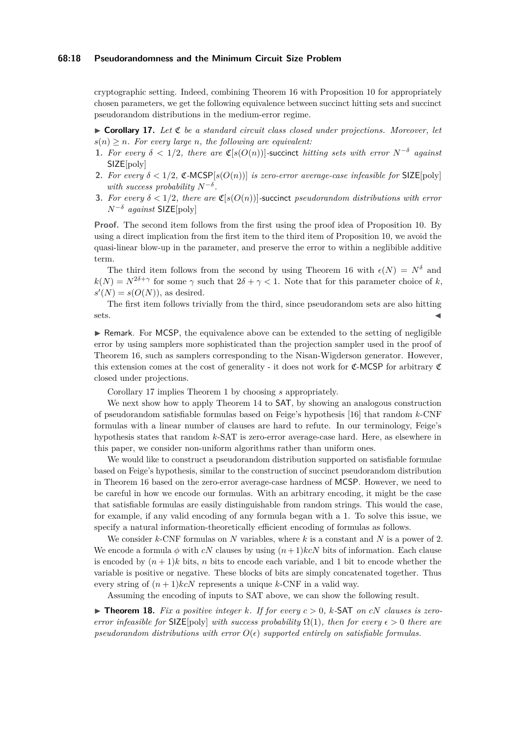#### **68:18 Pseudorandomness and the Minimum Circuit Size Problem**

cryptographic setting. Indeed, combining Theorem [16](#page-16-0) with Proposition [10](#page-12-3) for appropriately chosen parameters, we get the following equivalence between succinct hitting sets and succinct pseudorandom distributions in the medium-error regime.

<span id="page-17-0"></span> $\triangleright$  **Corollary 17.** Let  $\mathfrak C$  be a standard circuit class closed under projections. Moreover, let  $s(n) > n$ *. For every large n, the following are equivalent:* 

- **1.** For every  $\delta < 1/2$ , there are  $\mathfrak{C}[s(O(n))]$ -succinct *hitting sets with error*  $N^{-\delta}$  *against* SIZE[poly]
- **2.** For every  $\delta < 1/2$ ,  $\mathfrak{C}\text{-MCSP}[s(O(n))]$  *is zero-error average-case infeasible for* SIZE[poly] *with success probability*  $N^{-\delta}$ .
- **3.** For every  $\delta < 1/2$ , there are  $\mathfrak{C}[s(O(n))]$ -succinct *pseudorandom distributions with error*  $N^{-\delta}$  *against* SIZE[poly]

**Proof.** The second item follows from the first using the proof idea of Proposition [10.](#page-12-3) By using a direct implication from the first item to the third item of Proposition [10,](#page-12-3) we avoid the quasi-linear blow-up in the parameter, and preserve the error to within a neglibible additive term.

The third item follows from the second by using Theorem [16](#page-16-0) with  $\epsilon(N) = N^{\delta}$  and  $k(N) = N^{2\delta + \gamma}$  for some  $\gamma$  such that  $2\delta + \gamma < 1$ . Note that for this parameter choice of *k*,  $s'(N) = s(O(N))$ , as desired.

The first item follows trivially from the third, since pseudorandom sets are also hitting  $sets.$ 

 $\triangleright$  Remark. For MCSP, the equivalence above can be extended to the setting of negligible error by using samplers more sophisticated than the projection sampler used in the proof of Theorem [16,](#page-16-0) such as samplers corresponding to the Nisan-Wigderson generator. However, this extension comes at the cost of generality - it does not work for  $C$ -MCSP for arbitrary  $C$ closed under projections.

Corollary [17](#page-17-0) implies Theorem [1](#page-4-0) by choosing *s* appropriately.

We next show how to apply Theorem [14](#page-14-0) to **SAT**, by showing an analogous construction of pseudorandom satisfiable formulas based on Feige's hypothesis [\[16\]](#page-23-12) that random *k*-CNF formulas with a linear number of clauses are hard to refute. In our terminology, Feige's hypothesis states that random *k*-SAT is zero-error average-case hard. Here, as elsewhere in this paper, we consider non-uniform algorithms rather than uniform ones.

We would like to construct a pseudorandom distribution supported on satisfiable formulae based on Feige's hypothesis, similar to the construction of succinct pseudorandom distribution in Theorem [16](#page-16-0) based on the zero-error average-case hardness of MCSP. However, we need to be careful in how we encode our formulas. With an arbitrary encoding, it might be the case that satisfiable formulas are easily distinguishable from random strings. This would the case, for example, if any valid encoding of any formula began with a 1. To solve this issue, we specify a natural information-theoretically efficient encoding of formulas as follows.

We consider *k*-CNF formulas on *N* variables, where *k* is a constant and *N* is a power of 2. We encode a formula  $\phi$  with *cN* clauses by using  $(n+1)k cN$  bits of information. Each clause is encoded by  $(n+1)k$  bits, *n* bits to encode each variable, and 1 bit to encode whether the variable is positive or negative. These blocks of bits are simply concatenated together. Thus every string of  $(n+1)kcN$  represents a unique  $k$ -CNF in a valid way.

Assuming the encoding of inputs to SAT above, we can show the following result.

<span id="page-17-1"></span> $\triangleright$  **Theorem 18.** Fix a positive integer k. If for every  $c > 0$ , k-SAT on cN clauses is zero*error infeasible for*  $SLE[poly]$  *with success probability*  $\Omega(1)$ *, then for every*  $\epsilon > 0$  *there are pseudorandom distributions with error*  $O(\epsilon)$  *supported entirely on satisfiable formulas.*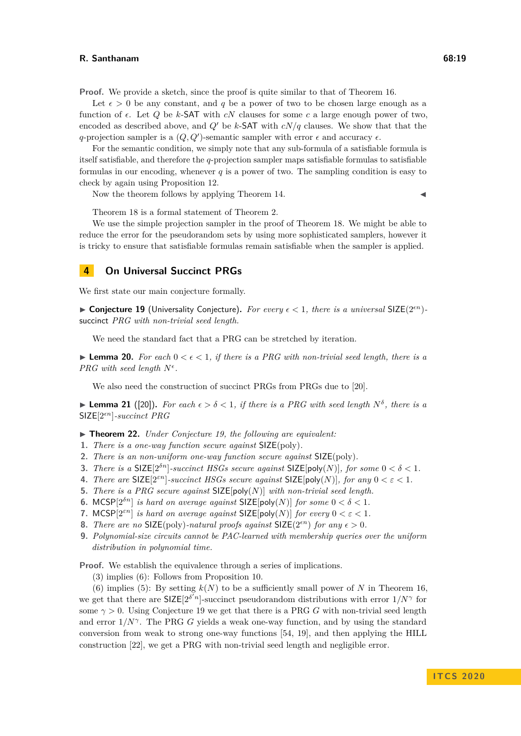**Proof.** We provide a sketch, since the proof is quite similar to that of Theorem [16.](#page-16-0)

Let  $\epsilon > 0$  be any constant, and q be a power of two to be chosen large enough as a function of  $\epsilon$ . Let Q be k-SAT with  $cN$  clauses for some c a large enough power of two. encoded as described above, and  $Q'$  be *k*-SAT with  $cN/q$  clauses. We show that that the *q*-projection sampler is a  $(Q, Q')$ -semantic sampler with error  $\epsilon$  and accuracy  $\epsilon$ .

For the semantic condition, we simply note that any sub-formula of a satisfiable formula is itself satisfiable, and therefore the *q*-projection sampler maps satisfiable formulas to satisfiable formulas in our encoding, whenever *q* is a power of two. The sampling condition is easy to check by again using Proposition [12.](#page-13-1)

Now the theorem follows by applying Theorem  $14$ .

Theorem [18](#page-17-1) is a formal statement of Theorem [2.](#page-5-0)

We use the simple projection sampler in the proof of Theorem [18.](#page-17-1) We might be able to reduce the error for the pseudorandom sets by using more sophisticated samplers, however it is tricky to ensure that satisfiable formulas remain satisfiable when the sampler is applied.

# **4 On Universal Succinct PRGs**

<span id="page-18-0"></span>We first state our main conjecture formally.

 $\triangleright$  **Conjecture 19** (Universality Conjecture). For every  $\epsilon < 1$ , there is a universal SIZE(2<sup>*en*</sup>)</sub>succinct *PRG with non-trivial seed length.*

We need the standard fact that a PRG can be stretched by iteration.

<span id="page-18-1"></span>**Lemma 20.** For each  $0 < \epsilon < 1$ , if there is a PRG with non-trivial seed length, there is a *PRG* with seed length  $N^{\epsilon}$ .

We also need the construction of succinct PRGs from PRGs due to [\[20\]](#page-24-10).

<span id="page-18-2"></span>**Example 12.** ([\[20\]](#page-24-10)). For each  $\epsilon > \delta < 1$ , if there is a PRG with seed length  $N^{\delta}$ , there is a SIZE[2*n*]*-succinct PRG*

<span id="page-18-3"></span>I **Theorem 22.** *Under Conjecture [19,](#page-18-0) the following are equivalent:*

- **1.** *There is a one-way function secure against* SIZE(poly)*.*
- **2.** *There is an non-uniform one-way function secure against* SIZE(poly)*.*
- **3.** *There is a* SIZE[ $2^{\delta n}$ ]*-succinct HSGs secure against* SIZE[ $poly(N)$ ]*, for some*  $0 < \delta < 1$ *.*
- **4.** *There are*  $SIZE[2<sup>\epsilon n</sup>]$ *-succinct HSGs secure against*  $SIZE[poly(N)]$ *, for any*  $0 < \epsilon < 1$ *.*
- **5.** *There is a PRG secure against* SIZE[poly(*N*)] *with non-trivial seed length.*
- **6.** MCSP $[2^{\delta n}]$  *is hard on average against* SIZE $[poly(N)]$  *for some*  $0 < \delta < 1$ *.*
- **7.** MCSP $[2^{\varepsilon n}]$  *is hard on average against* SIZE $[poly(N)]$  *for every*  $0 < \varepsilon < 1$ *.*
- **8.** *There are no*  $\text{SIZE}(\text{poly})$ *-natural proofs against*  $\text{SIZE}(2^{\epsilon n})$  *for any*  $\epsilon > 0$ *.*
- **9.** *Polynomial-size circuits cannot be PAC-learned with membership queries over the uniform distribution in polynomial time.*

**Proof.** We establish the equivalence through a series of implications.

(3) implies (6): Follows from Proposition [10.](#page-12-3)

(6) implies (5): By setting  $k(N)$  to be a sufficiently small power of N in Theorem [16,](#page-16-0) we get that there are  $\text{SIZE}[2^{\delta' n}]$ -succinct pseudorandom distributions with error  $1/N^{\gamma}$  for some  $\gamma > 0$ . Using Conjecture [19](#page-18-0) we get that there is a PRG *G* with non-trivial seed length and error  $1/N^{\gamma}$ . The PRG *G* yields a weak one-way function, and by using the standard conversion from weak to strong one-way functions [\[54,](#page-25-17) [19\]](#page-24-19), and then applying the HILL construction [\[22\]](#page-24-2), we get a PRG with non-trivial seed length and negligible error.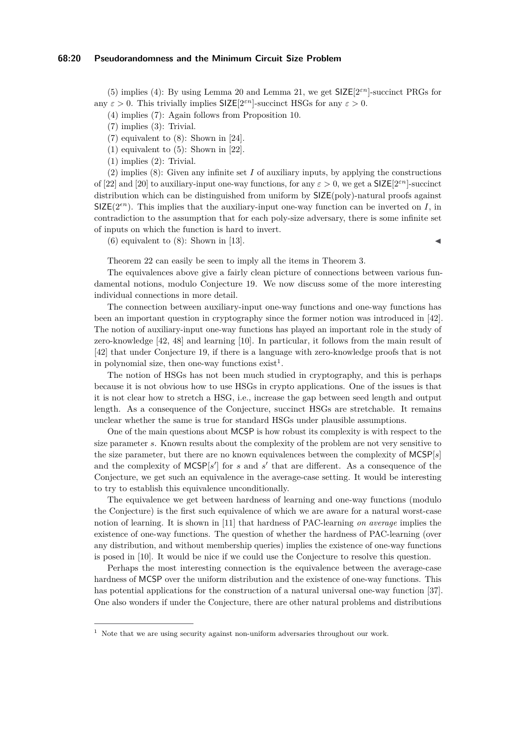(5) implies (4): By using Lemma [20](#page-18-1) and Lemma [21,](#page-18-2) we get SIZE[2*εn*]-succinct PRGs for any  $\varepsilon > 0$ . This trivially implies  $\mathsf{SIZE}[2^{\varepsilon n}]$ -succinct HSGs for any  $\varepsilon > 0$ .

(4) implies (7): Again follows from Proposition [10.](#page-12-3)

(7) implies (3): Trivial.

(7) equivalent to (8): Shown in [\[24\]](#page-24-4).

(1) equivalent to (5): Shown in [\[22\]](#page-24-2).

(1) implies (2): Trivial.

(2) implies (8): Given any infinite set *I* of auxiliary inputs, by applying the constructions of [\[22\]](#page-24-2) and [\[20\]](#page-24-10) to auxiliary-input one-way functions, for any  $\varepsilon > 0$ , we get a SIZE[2<sup> $\varepsilon n$ </sup>]-succinct distribution which can be distinguished from uniform by SIZE(poly)-natural proofs against  $SIZE(2<sup>\epsilon n</sup>)$ . This implies that the auxiliary-input one-way function can be inverted on *I*, in contradiction to the assumption that for each poly-size adversary, there is some infinite set of inputs on which the function is hard to invert.

 $(6)$  equivalent to  $(8)$ : Shown in [\[13\]](#page-23-15).

Theorem [22](#page-18-3) can easily be seen to imply all the items in Theorem [3.](#page-6-0)

The equivalences above give a fairly clean picture of connections between various fundamental notions, modulo Conjecture [19.](#page-18-0) We now discuss some of the more interesting individual connections in more detail.

The connection between auxiliary-input one-way functions and one-way functions has been an important question in cryptography since the former notion was introduced in [\[42\]](#page-25-3). The notion of auxiliary-input one-way functions has played an important role in the study of zero-knowledge [\[42,](#page-25-3) [48\]](#page-25-16) and learning [\[10\]](#page-23-1). In particular, it follows from the main result of [\[42\]](#page-25-3) that under Conjecture [19,](#page-18-0) if there is a language with zero-knowledge proofs that is not in polynomial size, then one-way functions  $\text{exist}^1$  $\text{exist}^1$ .

The notion of HSGs has not been much studied in cryptography, and this is perhaps because it is not obvious how to use HSGs in crypto applications. One of the issues is that it is not clear how to stretch a HSG, i.e., increase the gap between seed length and output length. As a consequence of the Conjecture, succinct HSGs are stretchable. It remains unclear whether the same is true for standard HSGs under plausible assumptions.

One of the main questions about MCSP is how robust its complexity is with respect to the size parameter *s*. Known results about the complexity of the problem are not very sensitive to the size parameter, but there are no known equivalences between the complexity of MCSP[*s*] and the complexity of  $MCSP[s']$  for *s* and  $s'$  that are different. As a consequence of the Conjecture, we get such an equivalence in the average-case setting. It would be interesting to try to establish this equivalence unconditionally.

The equivalence we get between hardness of learning and one-way functions (modulo the Conjecture) is the first such equivalence of which we are aware for a natural worst-case notion of learning. It is shown in [\[11\]](#page-23-8) that hardness of PAC-learning *on average* implies the existence of one-way functions. The question of whether the hardness of PAC-learning (over any distribution, and without membership queries) implies the existence of one-way functions is posed in [\[10\]](#page-23-1). It would be nice if we could use the Conjecture to resolve this question.

Perhaps the most interesting connection is the equivalence between the average-case hardness of MCSP over the uniform distribution and the existence of one-way functions. This has potential applications for the construction of a natural universal one-way function [\[37\]](#page-24-20). One also wonders if under the Conjecture, there are other natural problems and distributions

<span id="page-19-0"></span><sup>&</sup>lt;sup>1</sup> Note that we are using security against non-uniform adversaries throughout our work.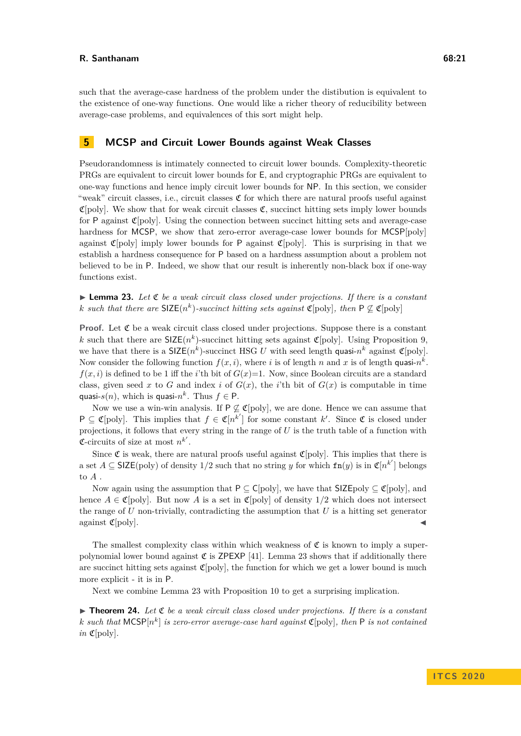such that the average-case hardness of the problem under the distibution is equivalent to the existence of one-way functions. One would like a richer theory of reducibility between average-case problems, and equivalences of this sort might help.

# **5 MCSP and Circuit Lower Bounds against Weak Classes**

Pseudorandomness is intimately connected to circuit lower bounds. Complexity-theoretic PRGs are equivalent to circuit lower bounds for E, and cryptographic PRGs are equivalent to one-way functions and hence imply circuit lower bounds for NP. In this section, we consider "weak" circuit classes, i.e., circuit classes  $\mathfrak C$  for which there are natural proofs useful against  $\mathfrak{C}[\text{poly}]$ . We show that for weak circuit classes  $\mathfrak{C}$ , succinct hitting sets imply lower bounds for P against  $\mathfrak{C}[\text{poly}]$ . Using the connection between succinct hitting sets and average-case hardness for MCSP, we show that zero-error average-case lower bounds for MCSP[poly] against  $\mathfrak{C}[\text{poly}]$  imply lower bounds for P against  $\mathfrak{C}[\text{poly}]$ . This is surprising in that we establish a hardness consequence for P based on a hardness assumption about a problem not believed to be in P. Indeed, we show that our result is inherently non-black box if one-way functions exist.

<span id="page-20-0"></span> $\triangleright$  **Lemma 23.** Let  $\mathfrak{C}$  be a weak circuit class closed under projections. If there is a constant *k* such that there are  $\text{SIZE}(n^k)$ -succinct hitting sets against  $\mathfrak{C}[\text{poly}]$ , then  $P \not\subseteq \mathfrak{C}[\text{poly}]$ 

**Proof.** Let  $\mathfrak C$  be a weak circuit class closed under projections. Suppose there is a constant *k* such that there are  $\text{SIZE}(n^k)$ -succinct hitting sets against  $\mathfrak{C}[\text{poly}]$ . Using Proposition [9,](#page-12-2) we have that there is a  $\text{SIZE}(n^k)$ -succinct HSG *U* with seed length quasi- $n^k$  against  $\mathfrak{C}[\text{poly}]$ . Now consider the following function  $f(x, i)$ , where *i* is of length *n* and *x* is of length quasi- $n^k$ .  $f(x, i)$  is defined to be 1 iff the *i*'th bit of  $G(x)=1$ . Now, since Boolean circuits are a standard class, given seed x to G and index i of  $G(x)$ , the i'th bit of  $G(x)$  is computable in time quasi- $s(n)$ , which is quasi- $n^k$ . Thus  $f \in \mathsf{P}$ .

Now we use a win-win analysis. If  $P \not\subseteq \mathfrak{C}[\text{poly}]$ , we are done. Hence we can assume that  $P \subseteq \mathfrak{C}[\text{poly}]$ . This implies that  $f \in \mathfrak{C}[n^{k'}]$  for some constant  $k'$ . Since  $\mathfrak{C}$  is closed under projections, it follows that every string in the range of *U* is the truth table of a function with **C**-circuits of size at most  $n^{k'}$ .

Since  $\mathfrak C$  is weak, there are natural proofs useful against  $\mathfrak C$ [poly]. This implies that there is a set  $A \subseteq \mathsf{SIZE}(\text{poly})$  of density 1/2 such that no string *y* for which  $\mathsf{fn}(y)$  is in  $\mathfrak{C}[n^{k'}]$  belongs to *A* .

Now again using the assumption that  $P \subseteq C[poly]$ , we have that  $SLE[poly] \subseteq C[poly]$ , and hence  $A \in \mathfrak{C}[\text{poly}]$ . But now A is a set in  $\mathfrak{C}[\text{poly}]$  of density  $1/2$  which does not intersect the range of *U* non-trivially, contradicting the assumption that *U* is a hitting set generator against  $\mathfrak{C}[\text{poly}]$ .

The smallest complexity class within which weakness of  $\mathfrak C$  is known to imply a superpolynomial lower bound against  $\mathfrak C$  is ZPEXP [\[41\]](#page-25-8). Lemma [23](#page-20-0) shows that if additionally there are succinct hitting sets against  $\mathfrak{C}[\text{poly}]$ , the function for which we get a lower bound is much more explicit - it is in P.

Next we combine Lemma [23](#page-20-0) with Proposition [10](#page-12-3) to get a surprising implication.

<span id="page-20-1"></span> $\triangleright$  **Theorem 24.** Let  $\mathfrak{C}$  be a weak circuit class closed under projections. If there is a constant *k* such that  $MCSP[n^k]$  is zero-error average-case hard against  $\mathfrak{C}[poly]$ , then P is not contained *in*  $\mathfrak{C}[\text{poly}]$ *.*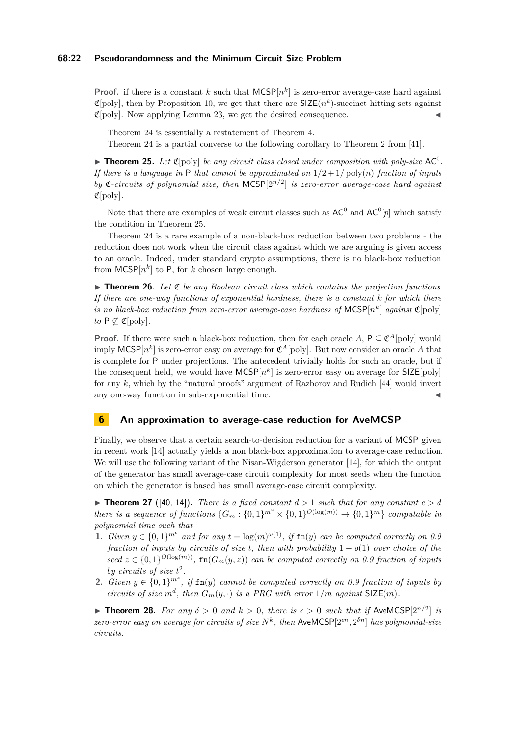#### **68:22 Pseudorandomness and the Minimum Circuit Size Problem**

**Proof.** if there is a constant *k* such that  $MCSP[n^k]$  is zero-error average-case hard against  $\mathfrak{C}[\text{poly}]$ , then by Proposition [10,](#page-12-3) we get that there are  $\mathsf{SIZE}(n^k)$ -succinct hitting sets against  $\mathfrak{C}[\text{poly}]$ . Now applying Lemma [23,](#page-20-0) we get the desired consequence.

Theorem [24](#page-20-1) is essentially a restatement of Theorem [4.](#page-7-0)

Theorem [24](#page-20-1) is a partial converse to the following corollary to Theorem 2 from [\[41\]](#page-25-8).

<span id="page-21-0"></span> $\blacktriangleright$  **Theorem 25.** Let  $\mathfrak{C}[\text{poly}]$  be any circuit class closed under composition with poly-size AC<sup>0</sup>. *If there is a language in* P *that cannot be approximated on*  $1/2 + 1$  *poly(n) fraction of inputs by* C*-circuits of polynomial size, then* MCSP[2*n/*<sup>2</sup> ] *is zero-error average-case hard against* C[poly]*.*

Note that there are examples of weak circuit classes such as  $AC^0$  and  $AC^0[p]$  which satisfy the condition in Theorem [25.](#page-21-0)

Theorem [24](#page-20-1) is a rare example of a non-black-box reduction between two problems - the reduction does not work when the circuit class against which we are arguing is given access to an oracle. Indeed, under standard crypto assumptions, there is no black-box reduction from  $MCSP[n^k]$  to P, for *k* chosen large enough.

 $\triangleright$  **Theorem 26.** Let  $\mathfrak{C}$  be any Boolean circuit class which contains the projection functions. *If there are one-way functions of exponential hardness, there is a constant k for which there is no black-box reduction from zero-error average-case hardness of*  $MCSP[n^k]$  *against*  $\mathfrak{C}[poly]$ *to*  $P \nsubseteq \mathfrak{C}[poly].$ 

**Proof.** If there were such a black-box reduction, then for each oracle A,  $P \subseteq \mathfrak{C}^A$ [poly] would imply MCSP $[n^k]$  is zero-error easy on average for  $\mathfrak{C}^A[\text{poly}]$ . But now consider an oracle A that is complete for P under projections. The antecedent trivially holds for such an oracle, but if the consequent held, we would have  $MCSP[n^k]$  is zero-error easy on average for  $SLE[poly]$ for any *k*, which by the "natural proofs" argument of Razborov and Rudich [\[44\]](#page-25-0) would invert any one-way function in sub-exponential time.

## **6 An approximation to average-case reduction for AveMCSP**

Finally, we observe that a certain search-to-decision reduction for a variant of MCSP given in recent work [\[14\]](#page-23-14) actually yields a non black-box approximation to average-case reduction. We will use the following variant of the Nisan-Wigderson generator [\[14\]](#page-23-14), for which the output of the generator has small average-case circuit complexity for most seeds when the function on which the generator is based has small average-case circuit complexity.

<span id="page-21-1"></span>**If Theorem 27** ([\[40,](#page-25-2) [14\]](#page-23-14)). There is a fixed constant  $d > 1$  such that for any constant  $c > d$ *there is a sequence of functions*  $\{G_m : \{0,1\}^{m^c} \times \{0,1\}^{O(\log(m))} \to \{0,1\}^m\}$  *computable in polynomial time such that*

- **1.** *Given*  $y \in \{0,1\}^{m^c}$  *and for any*  $t = \log(m)^{\omega(1)}$ *, if* **fn**(*y*) *can be computed correctly on 0.9 fraction of inputs by circuits of size t, then with probability* 1 − *o*(1) *over choice of the*  $seed \ z \in \{0,1\}^{O(\log(m))}$ ,  $fn(G_m(y,z))$  *can be computed correctly on 0.9 fraction of inputs* by circuits of size  $t^2$ .
- **2.** *Given*  $y \in \{0,1\}^{m^c}$ , *if* **fn**(*y*) *cannot* be *computed correctly on 0.9 fraction of inputs* by *circuits of size*  $m^d$ , then  $G_m(y, \cdot)$  *is a PRG with error*  $1/m$  *against*  $SIZE(m)$ *.*

<span id="page-21-2"></span>**Find 18.** For any  $\delta > 0$  and  $k > 0$ , there is  $\epsilon > 0$  such that if AveMCSP $[2^{n/2}]$  is *zero-error easy on average for circuits of size*  $N^k$ , then AveMCSP $[2^{\epsilon n}, 2^{\delta n}]$  has polynomial-size *circuits.*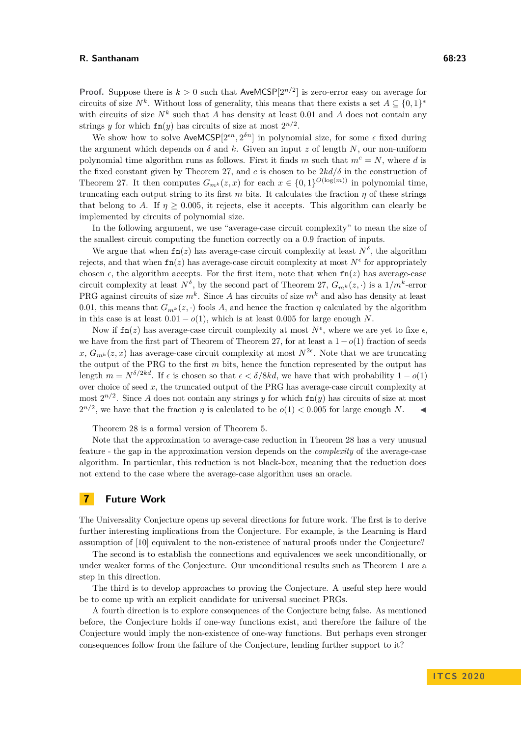**Proof.** Suppose there is  $k > 0$  such that AveMCSP $[2^{n/2}]$  is zero-error easy on average for circuits of size  $N^k$ . Without loss of generality, this means that there exists a set  $A \subseteq \{0,1\}^*$ with circuits of size  $N^k$  such that *A* has density at least 0.01 and *A* does not contain any strings *y* for which  $fn(y)$  has circuits of size at most  $2^{n/2}$ .

We show how to solve  $AveMCSP[2^{\epsilon n}, 2^{\delta n}]$  in polynomial size, for some  $\epsilon$  fixed during the argument which depends on  $\delta$  and  $k$ . Given an input  $z$  of length  $N$ , our non-uniform polynomial time algorithm runs as follows. First it finds *m* such that  $m^c = N$ , where *d* is the fixed constant given by Theorem [27,](#page-21-1) and *c* is chosen to be  $2kd/\delta$  in the construction of Theorem [27.](#page-21-1) It then computes  $G_{m^k}(z, x)$  for each  $x \in \{0, 1\}^{O(\log(m))}$  in polynomial time, truncating each output string to its first  $m$  bits. It calculates the fraction  $\eta$  of these strings that belong to *A*. If  $\eta \geq 0.005$ , it rejects, else it accepts. This algorithm can clearly be implemented by circuits of polynomial size.

In the following argument, we use "average-case circuit complexity" to mean the size of the smallest circuit computing the function correctly on a 0.9 fraction of inputs.

We argue that when  $fn(z)$  has average-case circuit complexity at least  $N^{\delta}$ , the algorithm rejects, and that when  $fn(z)$  has average-case circuit complexity at most  $N^{\epsilon}$  for appropriately chosen  $\epsilon$ , the algorithm accepts. For the first item, note that when  $fn(z)$  has average-case circuit complexity at least  $N^{\delta}$ , by the second part of Theorem [27,](#page-21-1)  $G_{m^k}(z, \cdot)$  is a  $1/m^k$ -error PRG against circuits of size *m<sup>k</sup>* . Since *A* has circuits of size *m<sup>k</sup>* and also has density at least 0.01, this means that  $G_{m^k}(z, \cdot)$  fools A, and hence the fraction  $\eta$  calculated by the algorithm in this case is at least  $0.01 - o(1)$ , which is at least 0.005 for large enough *N*.

Now if  $\text{fn}(z)$  has average-case circuit complexity at most  $N^{\epsilon}$ , where we are yet to fixe  $\epsilon$ , we have from the first part of Theorem of Theorem [27,](#page-21-1) for at least a 1 − *o*(1) fraction of seeds  $x, G_{m^k}(z, x)$  has average-case circuit complexity at most  $N^{2\epsilon}$ . Note that we are truncating the output of the PRG to the first *m* bits, hence the function represented by the output has length  $m = N^{\delta/2kd}$ . If  $\epsilon$  is chosen so that  $\epsilon < \delta/8kd$ , we have that with probability  $1 - o(1)$ over choice of seed *x*, the truncated output of the PRG has average-case circuit complexity at most  $2^{n/2}$ . Since *A* does not contain any strings *y* for which  $fn(y)$  has circuits of size at most  $2^{n/2}$ , we have that the fraction *η* is calculated to be  $o(1) < 0.005$  for large enough *N*.

Theorem [28](#page-21-2) is a formal version of Theorem [5.](#page-8-0)

Note that the approximation to average-case reduction in Theorem [28](#page-21-2) has a very unusual feature - the gap in the approximation version depends on the *complexity* of the average-case algorithm. In particular, this reduction is not black-box, meaning that the reduction does not extend to the case where the average-case algorithm uses an oracle.

# **7 Future Work**

The Universality Conjecture opens up several directions for future work. The first is to derive further interesting implications from the Conjecture. For example, is the Learning is Hard assumption of [\[10\]](#page-23-1) equivalent to the non-existence of natural proofs under the Conjecture?

The second is to establish the connections and equivalences we seek unconditionally, or under weaker forms of the Conjecture. Our unconditional results such as Theorem [1](#page-4-0) are a step in this direction.

The third is to develop approaches to proving the Conjecture. A useful step here would be to come up with an explicit candidate for universal succinct PRGs.

A fourth direction is to explore consequences of the Conjecture being false. As mentioned before, the Conjecture holds if one-way functions exist, and therefore the failure of the Conjecture would imply the non-existence of one-way functions. But perhaps even stronger consequences follow from the failure of the Conjecture, lending further support to it?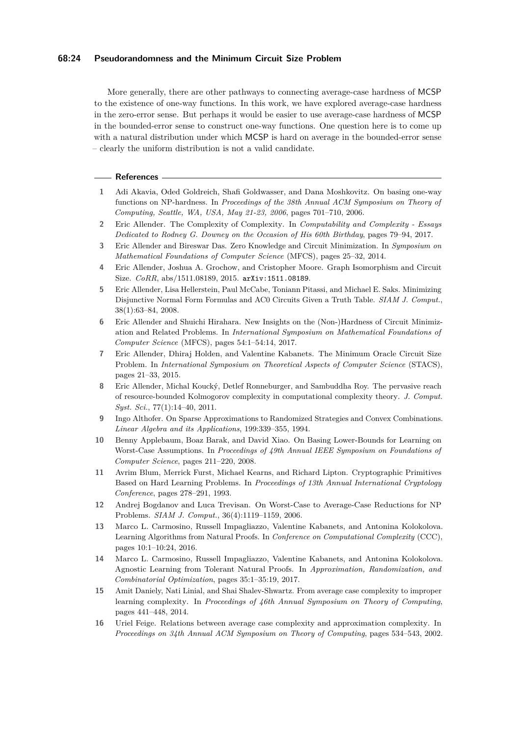### **68:24 Pseudorandomness and the Minimum Circuit Size Problem**

More generally, there are other pathways to connecting average-case hardness of MCSP to the existence of one-way functions. In this work, we have explored average-case hardness in the zero-error sense. But perhaps it would be easier to use average-case hardness of MCSP in the bounded-error sense to construct one-way functions. One question here is to come up with a natural distribution under which MCSP is hard on average in the bounded-error sense – clearly the uniform distribution is not a valid candidate.

#### **References**

- <span id="page-23-13"></span>**1** Adi Akavia, Oded Goldreich, Shafi Goldwasser, and Dana Moshkovitz. On basing one-way functions on NP-hardness. In *Proceedings of the 38th Annual ACM Symposium on Theory of Computing, Seattle, WA, USA, May 21-23, 2006*, pages 701–710, 2006.
- <span id="page-23-0"></span>**2** Eric Allender. The Complexity of Complexity. In *Computability and Complexity - Essays Dedicated to Rodney G. Downey on the Occasion of His 60th Birthday*, pages 79–94, 2017.
- <span id="page-23-4"></span>**3** Eric Allender and Bireswar Das. Zero Knowledge and Circuit Minimization. In *Symposium on Mathematical Foundations of Computer Science* (MFCS), pages 25–32, 2014.
- <span id="page-23-5"></span>**4** Eric Allender, Joshua A. Grochow, and Cristopher Moore. Graph Isomorphism and Circuit Size. *CoRR*, abs/1511.08189, 2015. [arXiv:1511.08189](http://arxiv.org/abs/1511.08189).
- <span id="page-23-3"></span>**5** Eric Allender, Lisa Hellerstein, Paul McCabe, Toniann Pitassi, and Michael E. Saks. Minimizing Disjunctive Normal Form Formulas and AC0 Circuits Given a Truth Table. *SIAM J. Comput.*, 38(1):63–84, 2008.
- <span id="page-23-7"></span>**6** Eric Allender and Shuichi Hirahara. New Insights on the (Non-)Hardness of Circuit Minimization and Related Problems. In *International Symposium on Mathematical Foundations of Computer Science* (MFCS), pages 54:1–54:14, 2017.
- <span id="page-23-6"></span>**7** Eric Allender, Dhiraj Holden, and Valentine Kabanets. The Minimum Oracle Circuit Size Problem. In *International Symposium on Theoretical Aspects of Computer Science* (STACS), pages 21–33, 2015.
- <span id="page-23-2"></span>**8** Eric Allender, Michal Koucký, Detlef Ronneburger, and Sambuddha Roy. The pervasive reach of resource-bounded Kolmogorov complexity in computational complexity theory. *J. Comput. Syst. Sci.*, 77(1):14–40, 2011.
- <span id="page-23-11"></span>**9** Ingo Althofer. On Sparse Approximations to Randomized Strategies and Convex Combinations. *Linear Algebra and its Applications*, 199:339–355, 1994.
- <span id="page-23-1"></span>**10** Benny Applebaum, Boaz Barak, and David Xiao. On Basing Lower-Bounds for Learning on Worst-Case Assumptions. In *Proceedings of 49th Annual IEEE Symposium on Foundations of Computer Science*, pages 211–220, 2008.
- <span id="page-23-8"></span>**11** Avrim Blum, Merrick Furst, Michael Kearns, and Richard Lipton. Cryptographic Primitives Based on Hard Learning Problems. In *Proceedings of 13th Annual International Cryptology Conference*, pages 278–291, 1993.
- <span id="page-23-10"></span>**12** Andrej Bogdanov and Luca Trevisan. On Worst-Case to Average-Case Reductions for NP Problems. *SIAM J. Comput.*, 36(4):1119–1159, 2006.
- <span id="page-23-15"></span>**13** Marco L. Carmosino, Russell Impagliazzo, Valentine Kabanets, and Antonina Kolokolova. Learning Algorithms from Natural Proofs. In *Conference on Computational Complexity* (CCC), pages 10:1–10:24, 2016.
- <span id="page-23-14"></span>**14** Marco L. Carmosino, Russell Impagliazzo, Valentine Kabanets, and Antonina Kolokolova. Agnostic Learning from Tolerant Natural Proofs. In *Approximation, Randomization, and Combinatorial Optimization*, pages 35:1–35:19, 2017.
- <span id="page-23-9"></span>**15** Amit Daniely, Nati Linial, and Shai Shalev-Shwartz. From average case complexity to improper learning complexity. In *Proceedings of 46th Annual Symposium on Theory of Computing*, pages 441–448, 2014.
- <span id="page-23-12"></span>**16** Uriel Feige. Relations between average case complexity and approximation complexity. In *Proceedings on 34th Annual ACM Symposium on Theory of Computing*, pages 534–543, 2002.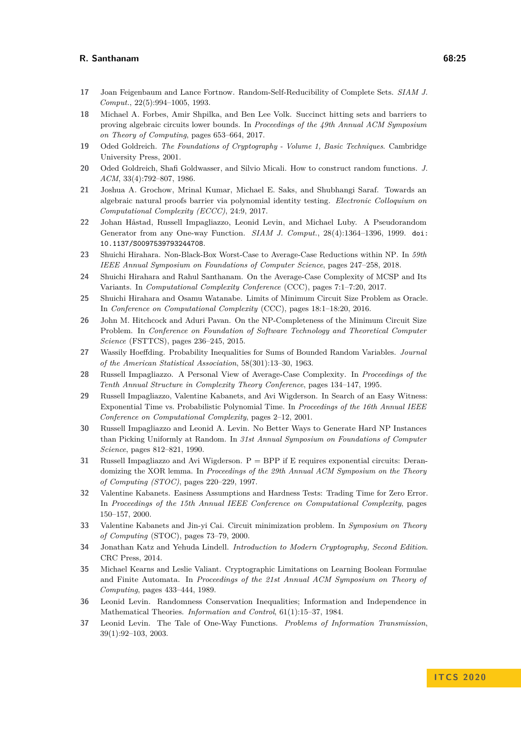- <span id="page-24-9"></span>**17** Joan Feigenbaum and Lance Fortnow. Random-Self-Reducibility of Complete Sets. *SIAM J. Comput.*, 22(5):994–1005, 1993.
- <span id="page-24-17"></span>**18** Michael A. Forbes, Amir Shpilka, and Ben Lee Volk. Succinct hitting sets and barriers to proving algebraic circuits lower bounds. In *Proceedings of the 49th Annual ACM Symposium on Theory of Computing*, pages 653–664, 2017.
- <span id="page-24-19"></span>**19** Oded Goldreich. *The Foundations of Cryptography - Volume 1, Basic Techniques*. Cambridge University Press, 2001.
- <span id="page-24-10"></span>**20** Oded Goldreich, Shafi Goldwasser, and Silvio Micali. How to construct random functions. *J. ACM*, 33(4):792–807, 1986.
- <span id="page-24-16"></span>**21** Joshua A. Grochow, Mrinal Kumar, Michael E. Saks, and Shubhangi Saraf. Towards an algebraic natural proofs barrier via polynomial identity testing. *Electronic Colloquium on Computational Complexity (ECCC)*, 24:9, 2017.
- <span id="page-24-2"></span>**22** Johan Håstad, Russell Impagliazzo, Leonid Levin, and Michael Luby. A Pseudorandom Generator from any One-way Function. *SIAM J. Comput.*, 28(4):1364–1396, 1999. [doi:](https://doi.org/10.1137/S0097539793244708) [10.1137/S0097539793244708](https://doi.org/10.1137/S0097539793244708).
- <span id="page-24-0"></span>**23** Shuichi Hirahara. Non-Black-Box Worst-Case to Average-Case Reductions within NP. In *59th IEEE Annual Symposium on Foundations of Computer Science*, pages 247–258, 2018.
- <span id="page-24-4"></span>**24** Shuichi Hirahara and Rahul Santhanam. On the Average-Case Complexity of MCSP and Its Variants. In *Computational Complexity Conference* (CCC), pages 7:1–7:20, 2017.
- <span id="page-24-6"></span>**25** Shuichi Hirahara and Osamu Watanabe. Limits of Minimum Circuit Size Problem as Oracle. In *Conference on Computational Complexity* (CCC), pages 18:1–18:20, 2016.
- <span id="page-24-7"></span>**26** John M. Hitchcock and Aduri Pavan. On the NP-Completeness of the Minimum Circuit Size Problem. In *Conference on Foundation of Software Technology and Theoretical Computer Science* (FSTTCS), pages 236–245, 2015.
- <span id="page-24-18"></span>**27** Wassily Hoeffding. Probability Inequalities for Sums of Bounded Random Variables. *Journal of the American Statistical Association*, 58(301):13–30, 1963.
- <span id="page-24-14"></span>**28** Russell Impagliazzo. A Personal View of Average-Case Complexity. In *Proceedings of the Tenth Annual Structure in Complexity Theory Conference*, pages 134–147, 1995.
- <span id="page-24-12"></span>**29** Russell Impagliazzo, Valentine Kabanets, and Avi Wigderson. In Search of an Easy Witness: Exponential Time vs. Probabilistic Polynomial Time. In *Proceedings of the 16th Annual IEEE Conference on Computational Complexity*, pages 2–12, 2001.
- <span id="page-24-15"></span>**30** Russell Impagliazzo and Leonid A. Levin. No Better Ways to Generate Hard NP Instances than Picking Uniformly at Random. In *31st Annual Symposium on Foundations of Computer Science*, pages 812–821, 1990.
- <span id="page-24-1"></span>**31** Russell Impagliazzo and Avi Wigderson. P = BPP if E requires exponential circuits: Derandomizing the XOR lemma. In *Proceedings of the 29th Annual ACM Symposium on the Theory of Computing (STOC)*, pages 220–229, 1997.
- <span id="page-24-11"></span>**32** Valentine Kabanets. Easiness Assumptions and Hardness Tests: Trading Time for Zero Error. In *Proceedings of the 15th Annual IEEE Conference on Computational Complexity*, pages 150–157, 2000.
- <span id="page-24-5"></span>**33** Valentine Kabanets and Jin-yi Cai. Circuit minimization problem. In *Symposium on Theory of Computing* (STOC), pages 73–79, 2000.
- <span id="page-24-3"></span>**34** Jonathan Katz and Yehuda Lindell. *Introduction to Modern Cryptography, Second Edition*. CRC Press, 2014.
- <span id="page-24-8"></span>**35** Michael Kearns and Leslie Valiant. Cryptographic Limitations on Learning Boolean Formulae and Finite Automata. In *Proceedings of the 21st Annual ACM Symposium on Theory of Computing*, pages 433–444, 1989.
- <span id="page-24-13"></span>**36** Leonid Levin. Randomness Conservation Inequalities; Information and Independence in Mathematical Theories. *Information and Control*, 61(1):15–37, 1984.
- <span id="page-24-20"></span>**37** Leonid Levin. The Tale of One-Way Functions. *Problems of Information Transmission*, 39(1):92–103, 2003.